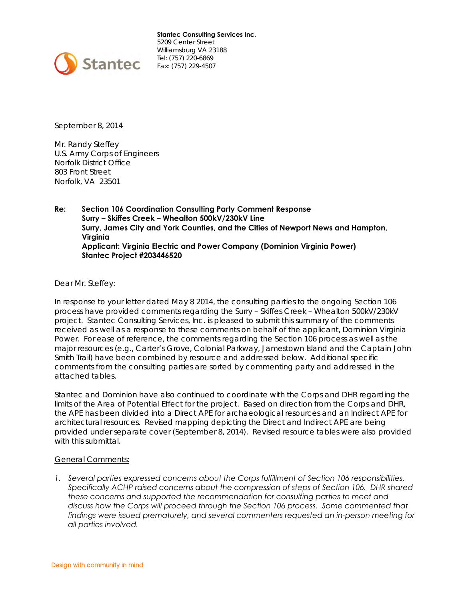

**Stantec Consulting Services Inc.**  5209 Center Street Williamsburg VA 23188 Tel: (757) 220-6869 Fax: (757) 229-4507

September 8, 2014

Mr. Randy Steffey U.S. Army Corps of Engineers Norfolk District Office 803 Front Street Norfolk, VA 23501

**Re: Section 106 Coordination Consulting Party Comment Response Surry – Skiffes Creek – Whealton 500kV/230kV Line Surry, James City and York Counties, and the Cities of Newport News and Hampton, Virginia Applicant: Virginia Electric and Power Company (Dominion Virginia Power) Stantec Project #203446520** 

Dear Mr. Steffey:

In response to your letter dated May 8 2014, the consulting parties to the ongoing Section 106 process have provided comments regarding the Surry – Skiffes Creek – Whealton 500kV/230kV project. Stantec Consulting Services, Inc. is pleased to submit this summary of the comments received as well as a response to these comments on behalf of the applicant, Dominion Virginia Power. For ease of reference, the comments regarding the Section 106 process as well as the major resources (e.g., Carter's Grove, Colonial Parkway, Jamestown Island and the Captain John Smith Trail) have been combined by resource and addressed below. Additional specific comments from the consulting parties are sorted by commenting party and addressed in the attached tables.

Stantec and Dominion have also continued to coordinate with the Corps and DHR regarding the limits of the Area of Potential Effect for the project. Based on direction from the Corps and DHR, the APE has been divided into a Direct APE for archaeological resources and an Indirect APE for architectural resources. Revised mapping depicting the Direct and Indirect APE are being provided under separate cover (September 8, 2014). Revised resource tables were also provided with this submittal.

#### General Comments:

*1. Several parties expressed concerns about the Corps fulfillment of Section 106 responsibilities. Specifically ACHP raised concerns about the compression of steps of Section 106. DHR shared these concerns and supported the recommendation for consulting parties to meet and discuss how the Corps will proceed through the Section 106 process. Some commented that findings were issued prematurely, and several commenters requested an in-person meeting for all parties involved.*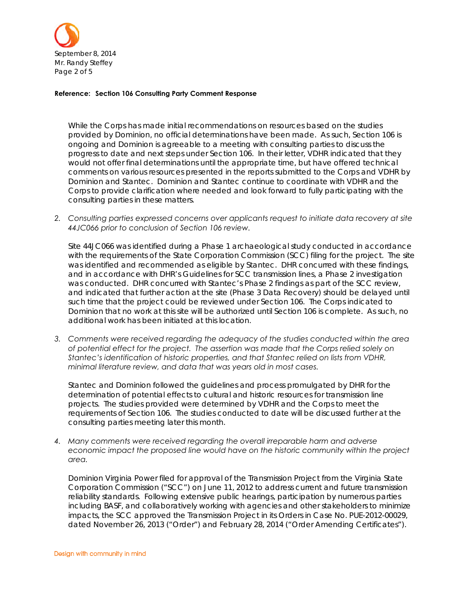

While the Corps has made initial recommendations on resources based on the studies provided by Dominion, no official determinations have been made. As such, Section 106 is ongoing and Dominion is agreeable to a meeting with consulting parties to discuss the progress to date and next steps under Section 106. In their letter, VDHR indicated that they would not offer final determinations until the appropriate time, but have offered technical comments on various resources presented in the reports submitted to the Corps and VDHR by Dominion and Stantec. Dominion and Stantec continue to coordinate with VDHR and the Corps to provide clarification where needed and look forward to fully participating with the consulting parties in these matters.

*2. Consulting parties expressed concerns over applicants request to initiate data recovery at site 44JC066 prior to conclusion of Section 106 review.* 

Site 44JC066 was identified during a Phase 1 archaeological study conducted in accordance with the requirements of the State Corporation Commission (SCC) filing for the project. The site was identified and recommended as eligible by Stantec. DHR concurred with these findings, and in accordance with DHR's Guidelines for SCC transmission lines, a Phase 2 investigation was conducted. DHR concurred with Stantec's Phase 2 findings as part of the SCC review, and indicated that further action at the site (Phase 3 Data Recovery) should be delayed until such time that the project could be reviewed under Section 106. The Corps indicated to Dominion that no work at this site will be authorized until Section 106 is complete. As such, no additional work has been initiated at this location.

*3. Comments were received regarding the adequacy of the studies conducted within the area of potential effect for the project. The assertion was made that the Corps relied solely on Stantec's identification of historic properties, and that Stantec relied on lists from VDHR, minimal literature review, and data that was years old in most cases.* 

Stantec and Dominion followed the guidelines and process promulgated by DHR for the determination of potential effects to cultural and historic resources for transmission line projects. The studies provided were determined by VDHR and the Corps to meet the requirements of Section 106. The studies conducted to date will be discussed further at the consulting parties meeting later this month.

*4. Many comments were received regarding the overall irreparable harm and adverse economic impact the proposed line would have on the historic community within the project area.* 

Dominion Virginia Power filed for approval of the Transmission Project from the Virginia State Corporation Commission ("SCC") on June 11, 2012 to address current and future transmission reliability standards. Following extensive public hearings, participation by numerous parties including BASF, and collaboratively working with agencies and other stakeholders to minimize impacts, the SCC approved the Transmission Project in its Orders in Case No. PUE-2012-00029, dated November 26, 2013 ("Order") and February 28, 2014 ("Order Amending Certificates").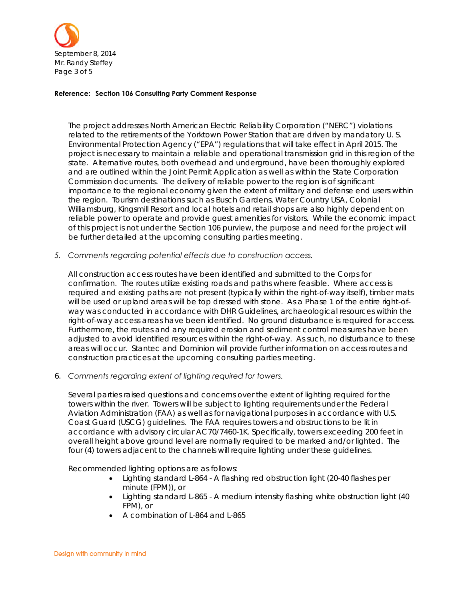

The project addresses North American Electric Reliability Corporation ("NERC") violations related to the retirements of the Yorktown Power Station that are driven by mandatory U. S. Environmental Protection Agency ("EPA") regulations that will take effect in April 2015. The project is necessary to maintain a reliable and operational transmission grid in this region of the state. Alternative routes, both overhead and underground, have been thoroughly explored and are outlined within the Joint Permit Application as well as within the State Corporation Commission documents. The delivery of reliable power to the region is of significant importance to the regional economy given the extent of military and defense end users within the region. Tourism destinations such as Busch Gardens, Water Country USA, Colonial Williamsburg, Kingsmill Resort and local hotels and retail shops are also highly dependent on reliable power to operate and provide guest amenities for visitors. While the economic impact of this project is not under the Section 106 purview, the purpose and need for the project will be further detailed at the upcoming consulting parties meeting.

*5. Comments regarding potential effects due to construction access.* 

All construction access routes have been identified and submitted to the Corps for confirmation. The routes utilize existing roads and paths where feasible. Where access is required and existing paths are not present (typically within the right-of-way itself), timber mats will be used or upland areas will be top dressed with stone. As a Phase 1 of the entire right-ofway was conducted in accordance with DHR Guidelines, archaeological resources within the right-of-way access areas have been identified. No ground disturbance is required for access. Furthermore, the routes and any required erosion and sediment control measures have been adjusted to avoid identified resources within the right-of-way. As such, no disturbance to these areas will occur. Stantec and Dominion will provide further information on access routes and construction practices at the upcoming consulting parties meeting.

6. *Comments regarding extent of lighting required for towers.*

Several parties raised questions and concerns over the extent of lighting required for the towers within the river. Towers will be subject to lighting requirements under the Federal Aviation Administration (FAA) as well as for navigational purposes in accordance with U.S. Coast Guard (USCG) guidelines. The FAA requires towers and obstructions to be lit in accordance with advisory circular AC70/7460-1K. Specifically, towers exceeding 200 feet in overall height above ground level are normally required to be marked and/or lighted. The four (4) towers adjacent to the channels will require lighting under these guidelines.

Recommended lighting options are as follows:

- Lighting standard L-864 A flashing red obstruction light (20-40 flashes per minute (FPM)), or
- Lighting standard L-865 A medium intensity flashing white obstruction light (40 FPM), or
- A combination of L-864 and L-865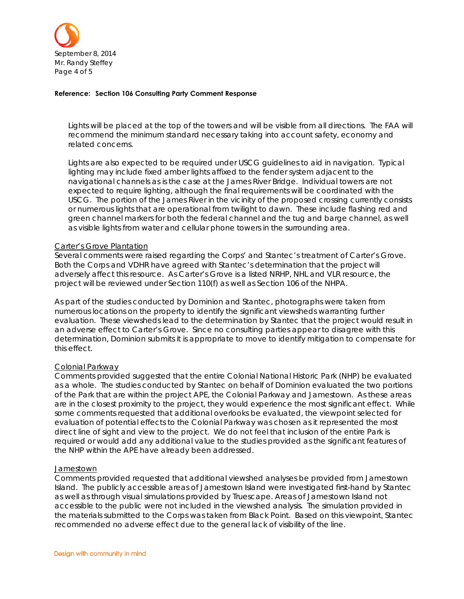

Lights will be placed at the top of the towers and will be visible from all directions. The FAA will recommend the minimum standard necessary taking into account safety, economy and related concerns.

Lights are also expected to be required under USCG guidelines to aid in navigation. Typical lighting may include fixed amber lights affixed to the fender system adjacent to the navigational channels as is the case at the James River Bridge. Individual towers are not expected to require lighting, although the final requirements will be coordinated with the USCG. The portion of the James River in the vicinity of the proposed crossing currently consists or numerous lights that are operational from twilight to dawn. These include flashing red and green channel markers for both the federal channel and the tug and barge channel, as well as visible lights from water and cellular phone towers in the surrounding area.

#### Carter's Grove Plantation

Several comments were raised regarding the Corps' and Stantec's treatment of Carter's Grove. Both the Corps and VDHR have agreed with Stantec's determination that the project will adversely affect this resource. As Carter's Grove is a listed NRHP, NHL and VLR resource, the project will be reviewed under Section 110(f) as well as Section 106 of the NHPA.

As part of the studies conducted by Dominion and Stantec, photographs were taken from numerous locations on the property to identify the significant viewsheds warranting further evaluation. These viewsheds lead to the determination by Stantec that the project would result in an adverse effect to Carter's Grove. Since no consulting parties appear to disagree with this determination, Dominion submits it is appropriate to move to identify mitigation to compensate for this effect.

#### Colonial Parkway

Comments provided suggested that the entire Colonial National Historic Park (NHP) be evaluated as a whole. The studies conducted by Stantec on behalf of Dominion evaluated the two portions of the Park that are within the project APE, the Colonial Parkway and Jamestown. As these areas are in the closest proximity to the project, they would experience the most significant effect. While some comments requested that additional overlooks be evaluated, the viewpoint selected for evaluation of potential effects to the Colonial Parkway was chosen as it represented the most direct line of sight and view to the project. We do not feel that inclusion of the entire Park is required or would add any additional value to the studies provided as the significant features of the NHP within the APE have already been addressed.

#### **Jamestown**

Comments provided requested that additional viewshed analyses be provided from Jamestown Island. The publicly accessible areas of Jamestown Island were investigated first-hand by Stantec as well as through visual simulations provided by Truescape. Areas of Jamestown Island not accessible to the public were not included in the viewshed analysis. The simulation provided in the materials submitted to the Corps was taken from Black Point. Based on this viewpoint, Stantec recommended no adverse effect due to the general lack of visibility of the line.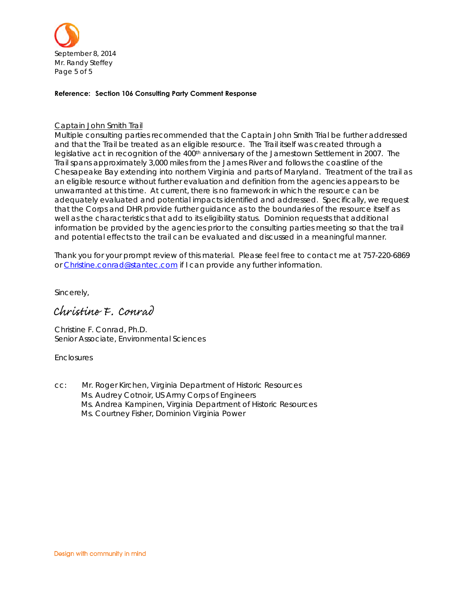

#### Captain John Smith Trail

Multiple consulting parties recommended that the Captain John Smith Trial be further addressed and that the Trail be treated as an eligible resource. The Trail itself was created through a legislative act in recognition of the 400<sup>th</sup> anniversary of the Jamestown Settlement in 2007. The Trail spans approximately 3,000 miles from the James River and follows the coastline of the Chesapeake Bay extending into northern Virginia and parts of Maryland. Treatment of the trail as an eligible resource without further evaluation and definition from the agencies appears to be unwarranted at this time. At current, there is no framework in which the resource can be adequately evaluated and potential impacts identified and addressed. Specifically, we request that the Corps and DHR provide further guidance as to the boundaries of the resource itself as well as the characteristics that add to its eligibility status. Dominion requests that additional information be provided by the agencies prior to the consulting parties meeting so that the trail and potential effects to the trail can be evaluated and discussed in a meaningful manner.

Thank you for your prompt review of this material. Please feel free to contact me at 757-220-6869 or Christine.conrad@stantec.com if I can provide any further information.

Sincerely,

# Christine F. Conrad

Christine F. Conrad, Ph.D. Senior Associate, Environmental Sciences

**Enclosures** 

cc: Mr. Roger Kirchen, Virginia Department of Historic Resources Ms. Audrey Cotnoir, US Army Corps of Engineers Ms. Andrea Kampinen, Virginia Department of Historic Resources Ms. Courtney Fisher, Dominion Virginia Power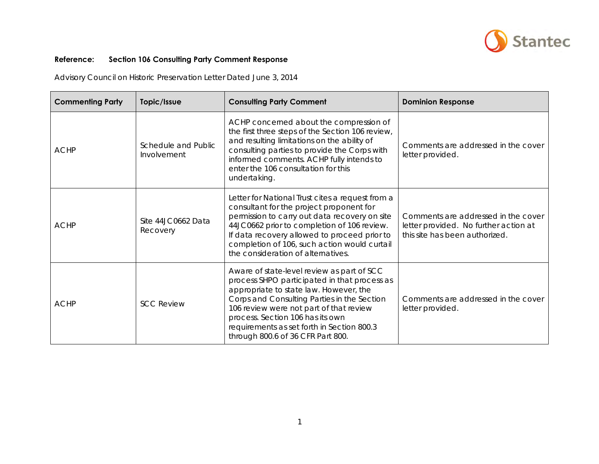

Advisory Council on Historic Preservation Letter Dated June 3, 2014

| <b>Commenting Party</b> | Topic/Issue                        | <b>Consulting Party Comment</b>                                                                                                                                                                                                                                                                                                                       | <b>Dominion Response</b>                                                                                       |
|-------------------------|------------------------------------|-------------------------------------------------------------------------------------------------------------------------------------------------------------------------------------------------------------------------------------------------------------------------------------------------------------------------------------------------------|----------------------------------------------------------------------------------------------------------------|
| <b>ACHP</b>             | Schedule and Public<br>Involvement | ACHP concerned about the compression of<br>the first three steps of the Section 106 review,<br>and resulting limitations on the ability of<br>consulting parties to provide the Corps with<br>informed comments. ACHP fully intends to<br>enter the 106 consultation for this<br>undertaking.                                                         | Comments are addressed in the cover<br>letter provided.                                                        |
| <b>ACHP</b>             | Site 44JC0662 Data<br>Recovery     | Letter for National Trust cites a request from a<br>consultant for the project proponent for<br>permission to carry out data recovery on site<br>44JC0662 prior to completion of 106 review.<br>If data recovery allowed to proceed prior to<br>completion of 106, such action would curtail<br>the consideration of alternatives.                    | Comments are addressed in the cover<br>letter provided. No further action at<br>this site has been authorized. |
| <b>ACHP</b>             | <b>SCC Review</b>                  | Aware of state-level review as part of SCC<br>process SHPO participated in that process as<br>appropriate to state law. However, the<br>Corps and Consulting Parties in the Section<br>106 review were not part of that review<br>process. Section 106 has its own<br>requirements as set forth in Section 800.3<br>through 800.6 of 36 CFR Part 800. | Comments are addressed in the cover<br>letter provided.                                                        |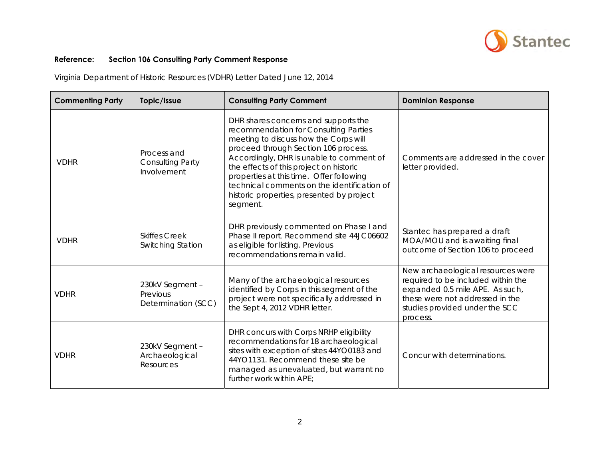

Virginia Department of Historic Resources (VDHR) Letter Dated June 12, 2014

| <b>Commenting Party</b> | Topic/Issue                                           | <b>Consulting Party Comment</b>                                                                                                                                                                                                                                                                                                                                                                           | <b>Dominion Response</b>                                                                                                                                                                    |
|-------------------------|-------------------------------------------------------|-----------------------------------------------------------------------------------------------------------------------------------------------------------------------------------------------------------------------------------------------------------------------------------------------------------------------------------------------------------------------------------------------------------|---------------------------------------------------------------------------------------------------------------------------------------------------------------------------------------------|
| <b>VDHR</b>             | Process and<br><b>Consulting Party</b><br>Involvement | DHR shares concerns and supports the<br>recommendation for Consulting Parties<br>meeting to discuss how the Corps will<br>proceed through Section 106 process.<br>Accordingly, DHR is unable to comment of<br>the effects of this project on historic<br>properties at this time. Offer following<br>technical comments on the identification of<br>historic properties, presented by project<br>segment. | Comments are addressed in the cover<br>letter provided.                                                                                                                                     |
| <b>VDHR</b>             | <b>Skiffes Creek</b><br>Switching Station             | DHR previously commented on Phase I and<br>Phase II report. Recommend site 44JC06602<br>as eligible for listing. Previous<br>recommendations remain valid.                                                                                                                                                                                                                                                | Stantec has prepared a draft<br>MOA/MOU and is awaiting final<br>outcome of Section 106 to proceed                                                                                          |
| <b>VDHR</b>             | 230kV Segment -<br>Previous<br>Determination (SCC)    | Many of the archaeological resources<br>identified by Corps in this segment of the<br>project were not specifically addressed in<br>the Sept 4, 2012 VDHR letter.                                                                                                                                                                                                                                         | New archaeological resources were<br>required to be included within the<br>expanded 0.5 mile APE. As such,<br>these were not addressed in the<br>studies provided under the SCC<br>process. |
| <b>VDHR</b>             | 230kV Segment -<br>Archaeological<br>Resources        | DHR concurs with Corps NRHP eligibility<br>recommendations for 18 archaeological<br>sites with exception of sites 44YO0183 and<br>44YO1131. Recommend these site be<br>managed as unevaluated, but warrant no<br>further work within APE;                                                                                                                                                                 | Concur with determinations.                                                                                                                                                                 |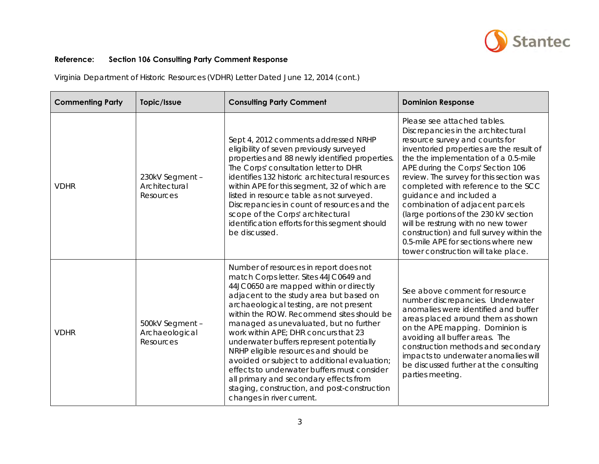

Virginia Department of Historic Resources (VDHR) Letter Dated June 12, 2014 (cont.)

| <b>Commenting Party</b> | Topic/Issue                                    | <b>Consulting Party Comment</b>                                                                                                                                                                                                                                                                                                                                                                                                                                                                                                                                                                                                                            | <b>Dominion Response</b>                                                                                                                                                                                                                                                                                                                                                                                                                                                                                                                                                              |
|-------------------------|------------------------------------------------|------------------------------------------------------------------------------------------------------------------------------------------------------------------------------------------------------------------------------------------------------------------------------------------------------------------------------------------------------------------------------------------------------------------------------------------------------------------------------------------------------------------------------------------------------------------------------------------------------------------------------------------------------------|---------------------------------------------------------------------------------------------------------------------------------------------------------------------------------------------------------------------------------------------------------------------------------------------------------------------------------------------------------------------------------------------------------------------------------------------------------------------------------------------------------------------------------------------------------------------------------------|
| <b>VDHR</b>             | 230kV Segment -<br>Architectural<br>Resources  | Sept 4, 2012 comments addressed NRHP<br>eligibility of seven previously surveyed<br>properties and 88 newly identified properties.<br>The Corps' consultation letter to DHR<br>identifies 132 historic architectural resources<br>within APE for this segment, 32 of which are<br>listed in resource table as not surveyed.<br>Discrepancies in count of resources and the<br>scope of the Corps' architectural<br>identification efforts for this segment should<br>be discussed.                                                                                                                                                                         | Please see attached tables.<br>Discrepancies in the architectural<br>resource survey and counts for<br>inventoried properties are the result of<br>the the implementation of a 0.5-mile<br>APE during the Corps' Section 106<br>review. The survey for this section was<br>completed with reference to the SCC<br>guidance and included a<br>combination of adjacent parcels<br>(large portions of the 230 kV section<br>will be restrung with no new tower<br>construction) and full survey within the<br>0.5-mile APE for sections where new<br>tower construction will take place. |
| <b>VDHR</b>             | 500kV Segment -<br>Archaeological<br>Resources | Number of resources in report does not<br>match Corps letter. Sites 44JC0649 and<br>44JC0650 are mapped within or directly<br>adjacent to the study area but based on<br>archaeological testing, are not present<br>within the ROW. Recommend sites should be<br>managed as unevaluated, but no further<br>work within APE; DHR concurs that 23<br>underwater buffers represent potentially<br>NRHP eligible resources and should be<br>avoided or subject to additional evaluation;<br>effects to underwater buffers must consider<br>all primary and secondary effects from<br>staging, construction, and post-construction<br>changes in river current. | See above comment for resource<br>number discrepancies. Underwater<br>anomalies were identified and buffer<br>areas placed around them as shown<br>on the APE mapping. Dominion is<br>avoiding all buffer areas. The<br>construction methods and secondary<br>impacts to underwater anomalies will<br>be discussed further at the consulting<br>parties meeting.                                                                                                                                                                                                                      |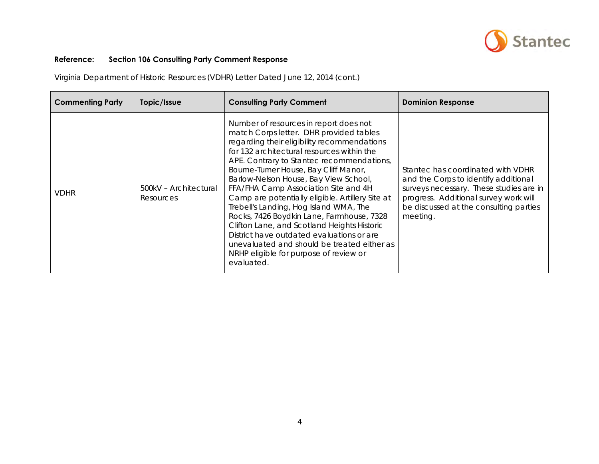

Virginia Department of Historic Resources (VDHR) Letter Dated June 12, 2014 (cont.)

| <b>Commenting Party</b> | Topic/Issue                        | <b>Consulting Party Comment</b>                                                                                                                                                                                                                                                                                                                                                                                                                                                                                                                                                                                                                                                                     | <b>Dominion Response</b>                                                                                                                                                                                            |
|-------------------------|------------------------------------|-----------------------------------------------------------------------------------------------------------------------------------------------------------------------------------------------------------------------------------------------------------------------------------------------------------------------------------------------------------------------------------------------------------------------------------------------------------------------------------------------------------------------------------------------------------------------------------------------------------------------------------------------------------------------------------------------------|---------------------------------------------------------------------------------------------------------------------------------------------------------------------------------------------------------------------|
| <b>VDHR</b>             | 500kV - Architectural<br>Resources | Number of resources in report does not<br>match Corps letter. DHR provided tables<br>regarding their eligibility recommendations<br>for 132 architectural resources within the<br>APE. Contrary to Stantec recommendations,<br>Bourne-Turner House, Bay Cliff Manor,<br>Barlow-Nelson House, Bay View School,<br>FFA/FHA Camp Association Site and 4H<br>Camp are potentially eligible. Artillery Site at<br>Trebell's Landing, Hog Island WMA, The<br>Rocks, 7426 Boydkin Lane, Farmhouse, 7328<br>Clifton Lane, and Scotland Heights Historic<br>District have outdated evaluations or are<br>unevaluated and should be treated either as<br>NRHP eligible for purpose of review or<br>evaluated. | Stantec has coordinated with VDHR<br>and the Corps to identify additional<br>surveys necessary. These studies are in<br>progress. Additional survey work will<br>be discussed at the consulting parties<br>meeting. |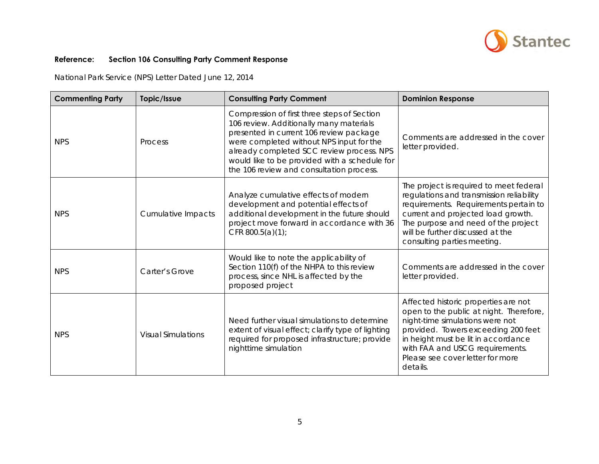

National Park Service (NPS) Letter Dated June 12, 2014

| <b>Commenting Party</b> | Topic/Issue               | <b>Consulting Party Comment</b>                                                                                                                                                                                                                                                                                         | <b>Dominion Response</b>                                                                                                                                                                                                                                                            |
|-------------------------|---------------------------|-------------------------------------------------------------------------------------------------------------------------------------------------------------------------------------------------------------------------------------------------------------------------------------------------------------------------|-------------------------------------------------------------------------------------------------------------------------------------------------------------------------------------------------------------------------------------------------------------------------------------|
| <b>NPS</b>              | Process                   | Compression of first three steps of Section<br>106 review. Additionally many materials<br>presented in current 106 review package<br>were completed without NPS input for the<br>already completed SCC review process. NPS<br>would like to be provided with a schedule for<br>the 106 review and consultation process. | Comments are addressed in the cover<br>letter provided.                                                                                                                                                                                                                             |
| <b>NPS</b>              | Cumulative Impacts        | Analyze cumulative effects of modern<br>development and potential effects of<br>additional development in the future should<br>project move forward in accordance with 36<br>CFR $800.5(a)(1)$ ;                                                                                                                        | The project is required to meet federal<br>regulations and transmission reliability<br>requirements. Requirements pertain to<br>current and projected load growth.<br>The purpose and need of the project<br>will be further discussed at the<br>consulting parties meeting.        |
| <b>NPS</b>              | Carter's Grove            | Would like to note the applicability of<br>Section 110(f) of the NHPA to this review<br>process, since NHL is affected by the<br>proposed project                                                                                                                                                                       | Comments are addressed in the cover<br>letter provided.                                                                                                                                                                                                                             |
| <b>NPS</b>              | <b>Visual Simulations</b> | Need further visual simulations to determine<br>extent of visual effect; clarify type of lighting<br>required for proposed infrastructure; provide<br>nighttime simulation                                                                                                                                              | Affected historic properties are not<br>open to the public at night. Therefore,<br>night-time simulations were not<br>provided. Towers exceeding 200 feet<br>in height must be lit in accordance<br>with FAA and USCG requirements.<br>Please see cover letter for more<br>details. |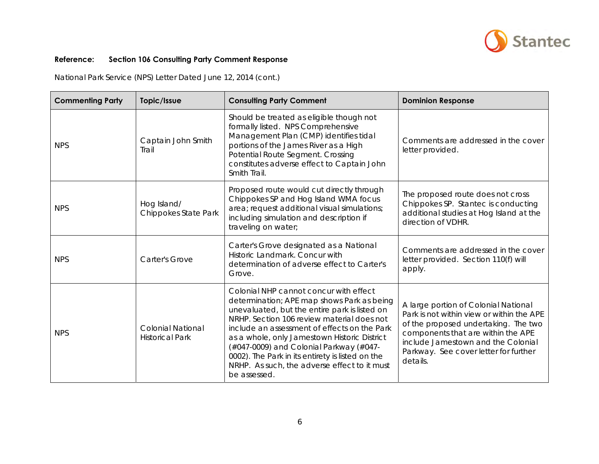

National Park Service (NPS) Letter Dated June 12, 2014 (cont.)

| <b>Commenting Party</b> | Topic/Issue                                        | <b>Consulting Party Comment</b>                                                                                                                                                                                                                                                                                                                                                                                                                    | <b>Dominion Response</b>                                                                                                                                                                                                                                   |
|-------------------------|----------------------------------------------------|----------------------------------------------------------------------------------------------------------------------------------------------------------------------------------------------------------------------------------------------------------------------------------------------------------------------------------------------------------------------------------------------------------------------------------------------------|------------------------------------------------------------------------------------------------------------------------------------------------------------------------------------------------------------------------------------------------------------|
| <b>NPS</b>              | Captain John Smith<br>Trail                        | Should be treated as eligible though not<br>formally listed. NPS Comprehensive<br>Management Plan (CMP) identifies tidal<br>portions of the James River as a High<br>Potential Route Segment. Crossing<br>constitutes adverse effect to Captain John<br>Smith Trail.                                                                                                                                                                               | Comments are addressed in the cover<br>letter provided.                                                                                                                                                                                                    |
| <b>NPS</b>              | Hog Island/<br>Chippokes State Park                | Proposed route would cut directly through<br>Chippokes SP and Hog Island WMA focus<br>area; request additional visual simulations;<br>including simulation and description if<br>traveling on water;                                                                                                                                                                                                                                               | The proposed route does not cross<br>Chippokes SP. Stantec is conducting<br>additional studies at Hog Island at the<br>direction of VDHR.                                                                                                                  |
| <b>NPS</b>              | Carter's Grove                                     | Carter's Grove designated as a National<br>Historic Landmark. Concur with<br>determination of adverse effect to Carter's<br>Grove.                                                                                                                                                                                                                                                                                                                 | Comments are addressed in the cover<br>letter provided. Section 110(f) will<br>apply.                                                                                                                                                                      |
| <b>NPS</b>              | <b>Colonial National</b><br><b>Historical Park</b> | Colonial NHP cannot concur with effect<br>determination; APE map shows Park as being<br>unevaluated, but the entire park is listed on<br>NRHP. Section 106 review material does not<br>include an assessment of effects on the Park<br>as a whole, only Jamestown Historic District<br>(#047-0009) and Colonial Parkway (#047-<br>0002). The Park in its entirety is listed on the<br>NRHP. As such, the adverse effect to it must<br>be assessed. | A large portion of Colonial National<br>Park is not within view or within the APE<br>of the proposed undertaking. The two<br>components that are within the APE<br>include Jamestown and the Colonial<br>Parkway. See cover letter for further<br>details. |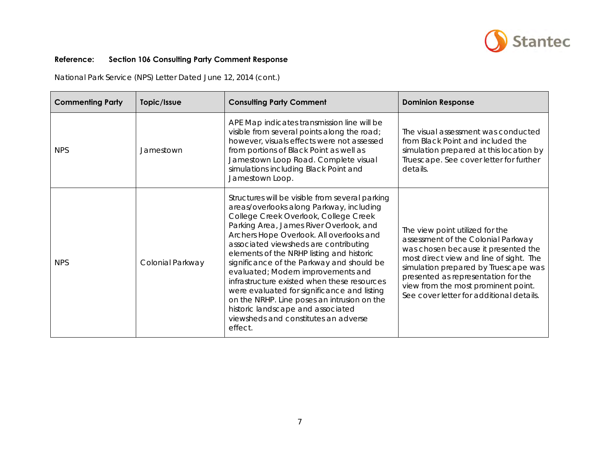

National Park Service (NPS) Letter Dated June 12, 2014 (cont.)

| <b>Commenting Party</b> | Topic/Issue      | <b>Consulting Party Comment</b>                                                                                                                                                                                                                                                                                                                                                                                                                                                                                                                                                                                                           | <b>Dominion Response</b>                                                                                                                                                                                                                                                                                                  |
|-------------------------|------------------|-------------------------------------------------------------------------------------------------------------------------------------------------------------------------------------------------------------------------------------------------------------------------------------------------------------------------------------------------------------------------------------------------------------------------------------------------------------------------------------------------------------------------------------------------------------------------------------------------------------------------------------------|---------------------------------------------------------------------------------------------------------------------------------------------------------------------------------------------------------------------------------------------------------------------------------------------------------------------------|
| <b>NPS</b>              | Jamestown        | APE Map indicates transmission line will be<br>visible from several points along the road;<br>however, visuals effects were not assessed<br>from portions of Black Point as well as<br>Jamestown Loop Road. Complete visual<br>simulations including Black Point and<br>Jamestown Loop.                                                                                                                                                                                                                                                                                                                                                   | The visual assessment was conducted<br>from Black Point and included the<br>simulation prepared at this location by<br>Truescape. See cover letter for further<br>details.                                                                                                                                                |
| <b>NPS</b>              | Colonial Parkway | Structures will be visible from several parking<br>areas/overlooks along Parkway, including<br>College Creek Overlook, College Creek<br>Parking Area, James River Overlook, and<br>Archers Hope Overlook. All overlooks and<br>associated viewsheds are contributing<br>elements of the NRHP listing and historic<br>significance of the Parkway and should be<br>evaluated; Modern improvements and<br>infrastructure existed when these resources<br>were evaluated for significance and listing<br>on the NRHP. Line poses an intrusion on the<br>historic landscape and associated<br>viewsheds and constitutes an adverse<br>effect. | The view point utilized for the<br>assessment of the Colonial Parkway<br>was chosen because it presented the<br>most direct view and line of sight. The<br>simulation prepared by Truescape was<br>presented as representation for the<br>view from the most prominent point.<br>See cover letter for additional details. |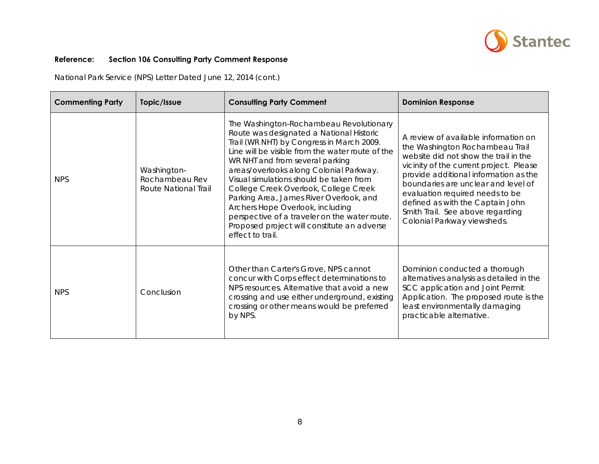

National Park Service (NPS) Letter Dated June 12, 2014 (cont.)

| <b>Commenting Party</b> | Topic/Issue                                           | <b>Consulting Party Comment</b>                                                                                                                                                                                                                                                                                                                                                                                                                                                                                                                           | <b>Dominion Response</b>                                                                                                                                                                                                                                                                                                                                                              |
|-------------------------|-------------------------------------------------------|-----------------------------------------------------------------------------------------------------------------------------------------------------------------------------------------------------------------------------------------------------------------------------------------------------------------------------------------------------------------------------------------------------------------------------------------------------------------------------------------------------------------------------------------------------------|---------------------------------------------------------------------------------------------------------------------------------------------------------------------------------------------------------------------------------------------------------------------------------------------------------------------------------------------------------------------------------------|
| <b>NPS</b>              | Washington-<br>Rochambeau Rev<br>Route National Trail | The Washington-Rochambeau Revolutionary<br>Route was designated a National Historic<br>Trail (WR NHT) by Congress in March 2009.<br>Line will be visible from the water route of the<br>WR NHT and from several parking<br>areas/overlooks along Colonial Parkway.<br>Visual simulations should be taken from<br>College Creek Overlook, College Creek<br>Parking Area, James River Overlook, and<br>Archers Hope Overlook, including<br>perspective of a traveler on the water route.<br>Proposed project will constitute an adverse<br>effect to trail. | A review of available information on<br>the Washington Rochambeau Trail<br>website did not show the trail in the<br>vicinity of the current project. Please<br>provide additional information as the<br>boundaries are unclear and level of<br>evaluation required needs to be<br>defined as with the Captain John<br>Smith Trail. See above regarding<br>Colonial Parkway viewsheds. |
| <b>NPS</b>              | Conclusion                                            | Other than Carter's Grove, NPS cannot<br>concur with Corps effect determinations to<br>NPS resources. Alternative that avoid a new<br>crossing and use either underground, existing<br>crossing or other means would be preferred<br>by NPS.                                                                                                                                                                                                                                                                                                              | Dominion conducted a thorough<br>alternatives analysis as detailed in the<br>SCC application and Joint Permit<br>Application. The proposed route is the<br>least environmentally damaging<br>practicable alternative.                                                                                                                                                                 |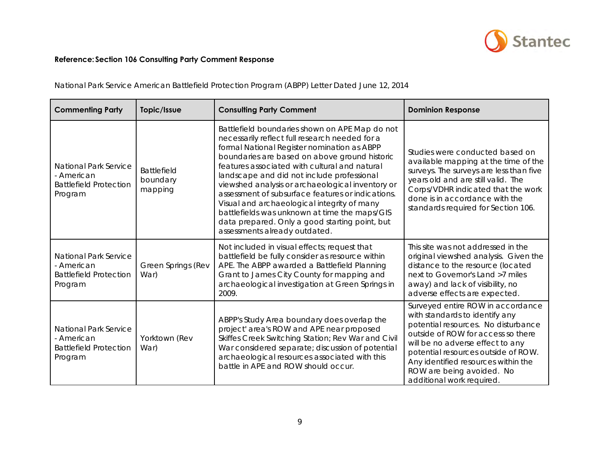

| <b>Commenting Party</b>                                                                | Topic/Issue                               | <b>Consulting Party Comment</b>                                                                                                                                                                                                                                                                                                                                                                                                                                                                                                                                                             | <b>Dominion Response</b>                                                                                                                                                                                                                                                                                                     |
|----------------------------------------------------------------------------------------|-------------------------------------------|---------------------------------------------------------------------------------------------------------------------------------------------------------------------------------------------------------------------------------------------------------------------------------------------------------------------------------------------------------------------------------------------------------------------------------------------------------------------------------------------------------------------------------------------------------------------------------------------|------------------------------------------------------------------------------------------------------------------------------------------------------------------------------------------------------------------------------------------------------------------------------------------------------------------------------|
| <b>National Park Service</b><br>- American<br><b>Battlefield Protection</b><br>Program | <b>Battlefield</b><br>boundary<br>mapping | Battlefield boundaries shown on APE Map do not<br>necessarily reflect full research needed for a<br>formal National Register nomination as ABPP<br>boundaries are based on above ground historic<br>features associated with cultural and natural<br>landscape and did not include professional<br>viewshed analysis or archaeological inventory or<br>assessment of subsurface features or indications.<br>Visual and archaeological integrity of many<br>battlefields was unknown at time the maps/GIS<br>data prepared. Only a good starting point, but<br>assessments already outdated. | Studies were conducted based on<br>available mapping at the time of the<br>surveys. The surveys are less than five<br>years old and are still valid. The<br>Corps/VDHR indicated that the work<br>done is in accordance with the<br>standards required for Section 106.                                                      |
| National Park Service<br>- American<br><b>Battlefield Protection</b><br>Program        | <b>Green Springs (Rev</b><br>War)         | Not included in visual effects; request that<br>battlefield be fully consider as resource within<br>APE. The ABPP awarded a Battlefield Planning<br>Grant to James City County for mapping and<br>archaeological investigation at Green Springs in<br>2009.                                                                                                                                                                                                                                                                                                                                 | This site was not addressed in the<br>original viewshed analysis. Given the<br>distance to the resource (located<br>next to Governor's Land >7 miles<br>away) and lack of visibility, no<br>adverse effects are expected.                                                                                                    |
| <b>National Park Service</b><br>- American<br><b>Battlefield Protection</b><br>Program | Yorktown (Rev<br>War)                     | ABPP's Study Area boundary does overlap the<br>project' area's ROW and APE near proposed<br>Skiffes Creek Switching Station; Rev War and Civil<br>War considered separate; discussion of potential<br>archaeological resources associated with this<br>battle in APE and ROW should occur.                                                                                                                                                                                                                                                                                                  | Surveyed entire ROW in accordance<br>with standards to identify any<br>potential resources. No disturbance<br>outside of ROW for access so there<br>will be no adverse effect to any<br>potential resources outside of ROW.<br>Any identified resources within the<br>ROW are being avoided. No<br>additional work required. |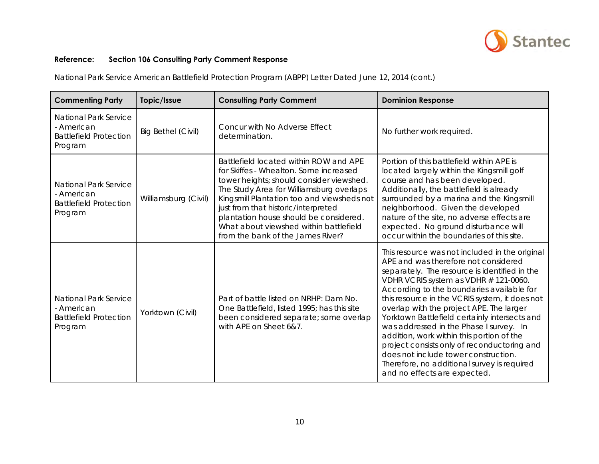

| <b>Commenting Party</b>                                                                | Topic/Issue               | <b>Consulting Party Comment</b>                                                                                                                                                                                                                                                                                                                                                        | <b>Dominion Response</b>                                                                                                                                                                                                                                                                                                                                                                                                                                                                                                                                                                                                                   |
|----------------------------------------------------------------------------------------|---------------------------|----------------------------------------------------------------------------------------------------------------------------------------------------------------------------------------------------------------------------------------------------------------------------------------------------------------------------------------------------------------------------------------|--------------------------------------------------------------------------------------------------------------------------------------------------------------------------------------------------------------------------------------------------------------------------------------------------------------------------------------------------------------------------------------------------------------------------------------------------------------------------------------------------------------------------------------------------------------------------------------------------------------------------------------------|
| National Park Service<br>- American<br><b>Battlefield Protection</b><br>Program        | <b>Big Bethel (Civil)</b> | Concur with No Adverse Effect<br>determination.                                                                                                                                                                                                                                                                                                                                        | No further work required.                                                                                                                                                                                                                                                                                                                                                                                                                                                                                                                                                                                                                  |
| <b>National Park Service</b><br>- American<br><b>Battlefield Protection</b><br>Program | Williamsburg (Civil)      | Battlefield located within ROW and APE<br>for Skiffes - Whealton. Some increased<br>tower heights; should consider viewshed.<br>The Study Area for Williamsburg overlaps<br>Kingsmill Plantation too and viewsheds not<br>just from that historic/interpreted<br>plantation house should be considered.<br>What about viewshed within battlefield<br>from the bank of the James River? | Portion of this battlefield within APE is<br>located largely within the Kingsmill golf<br>course and has been developed.<br>Additionally, the battlefield is already<br>surrounded by a marina and the Kingsmill<br>neighborhood. Given the developed<br>nature of the site, no adverse effects are<br>expected. No ground disturbance will<br>occur within the boundaries of this site.                                                                                                                                                                                                                                                   |
| <b>National Park Service</b><br>- American<br><b>Battlefield Protection</b><br>Program | Yorktown (Civil)          | Part of battle listed on NRHP: Dam No.<br>One Battlefield, listed 1995; has this site<br>been considered separate; some overlap<br>with APE on Sheet 6&7.                                                                                                                                                                                                                              | This resource was not included in the original<br>APE and was therefore not considered<br>separately. The resource is identified in the<br>VDHR VCRIS system as VDHR # 121-0060.<br>According to the boundaries available for<br>this resource in the VCRIS system, it does not<br>overlap with the project APE. The larger<br>Yorktown Battlefield certainly intersects and<br>was addressed in the Phase I survey. In<br>addition, work within this portion of the<br>project consists only of reconductoring and<br>does not include tower construction.<br>Therefore, no additional survey is required<br>and no effects are expected. |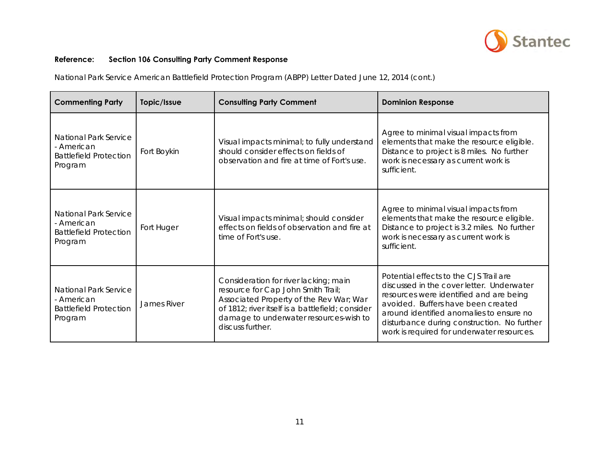

| <b>Commenting Party</b>                                                                | Topic/Issue | <b>Consulting Party Comment</b>                                                                                                                                                                                                          | <b>Dominion Response</b>                                                                                                                                                                                                                                                                                      |
|----------------------------------------------------------------------------------------|-------------|------------------------------------------------------------------------------------------------------------------------------------------------------------------------------------------------------------------------------------------|---------------------------------------------------------------------------------------------------------------------------------------------------------------------------------------------------------------------------------------------------------------------------------------------------------------|
| National Park Service<br>- American<br><b>Battlefield Protection</b><br>Program        | Fort Boykin | Visual impacts minimal; to fully understand<br>should consider effects on fields of<br>observation and fire at time of Fort's use.                                                                                                       | Agree to minimal visual impacts from<br>elements that make the resource eligible.<br>Distance to project is 8 miles. No further<br>work is necessary as current work is<br>sufficient.                                                                                                                        |
| <b>National Park Service</b><br>- American<br><b>Battlefield Protection</b><br>Program | Fort Huger  | Visual impacts minimal; should consider<br>effects on fields of observation and fire at<br>time of Fort's use.                                                                                                                           | Agree to minimal visual impacts from<br>elements that make the resource eligible.<br>Distance to project is 3.2 miles. No further<br>work is necessary as current work is<br>sufficient.                                                                                                                      |
| National Park Service<br>- American<br><b>Battlefield Protection</b><br>Program        | James River | Consideration for river lacking; main<br>resource for Cap John Smith Trail;<br>Associated Property of the Rev War; War<br>of 1812; river itself is a battlefield; consider<br>damage to underwater resources-wish to<br>discuss further. | Potential effects to the CJS Trail are<br>discussed in the cover letter. Underwater<br>resources were identified and are being<br>avoided. Buffers have been created<br>around identified anomalies to ensure no<br>disturbance during construction. No further<br>work is required for underwater resources. |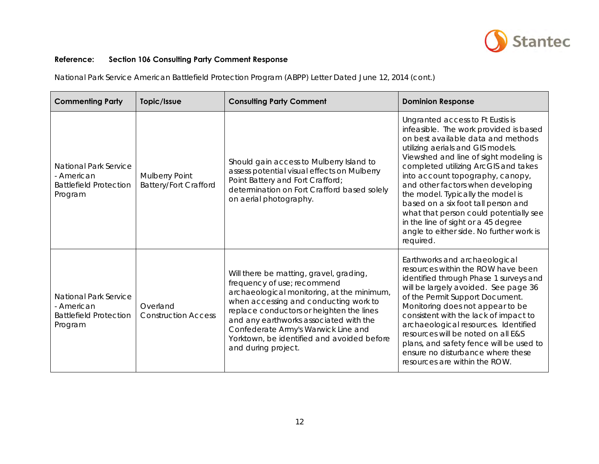

| <b>Commenting Party</b>                                                                | Topic/Issue                                           | <b>Consulting Party Comment</b>                                                                                                                                                                                                                                                                                                                                 | <b>Dominion Response</b>                                                                                                                                                                                                                                                                                                                                                                                                                                                                                                               |
|----------------------------------------------------------------------------------------|-------------------------------------------------------|-----------------------------------------------------------------------------------------------------------------------------------------------------------------------------------------------------------------------------------------------------------------------------------------------------------------------------------------------------------------|----------------------------------------------------------------------------------------------------------------------------------------------------------------------------------------------------------------------------------------------------------------------------------------------------------------------------------------------------------------------------------------------------------------------------------------------------------------------------------------------------------------------------------------|
| <b>National Park Service</b><br>- American<br><b>Battlefield Protection</b><br>Program | <b>Mulberry Point</b><br><b>Battery/Fort Crafford</b> | Should gain access to Mulberry Island to<br>assess potential visual effects on Mulberry<br>Point Battery and Fort Crafford;<br>determination on Fort Crafford based solely<br>on aerial photography.                                                                                                                                                            | Ungranted access to Ft Eustis is<br>infeasible. The work provided is based<br>on best available data and methods<br>utilizing aerials and GIS models.<br>Viewshed and line of sight modeling is<br>completed utilizing ArcGIS and takes<br>into account topography, canopy,<br>and other factors when developing<br>the model. Typically the model is<br>based on a six foot tall person and<br>what that person could potentially see<br>in the line of sight or a 45 degree<br>angle to either side. No further work is<br>required. |
| <b>National Park Service</b><br>- American<br><b>Battlefield Protection</b><br>Program | Overland<br><b>Construction Access</b>                | Will there be matting, gravel, grading,<br>frequency of use; recommend<br>archaeological monitoring, at the minimum,<br>when accessing and conducting work to<br>replace conductors or heighten the lines<br>and any earthworks associated with the<br>Confederate Army's Warwick Line and<br>Yorktown, be identified and avoided before<br>and during project. | Earthworks and archaeological<br>resources within the ROW have been<br>identified through Phase 1 surveys and<br>will be largely avoided. See page 36<br>of the Permit Support Document.<br>Monitoring does not appear to be<br>consistent with the lack of impact to<br>archaeological resources. Identified<br>resources will be noted on all E&S<br>plans, and safety fence will be used to<br>ensure no disturbance where these<br>resources are within the ROW.                                                                   |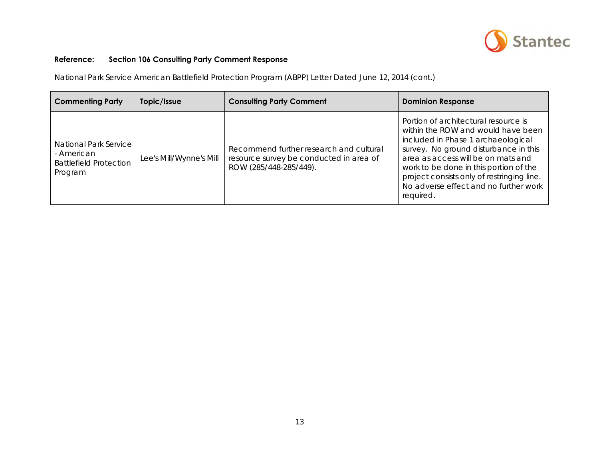

| <b>Commenting Party</b>                                                         | Topic/Issue             | <b>Consulting Party Comment</b>                                                                              | <b>Dominion Response</b>                                                                                                                                                                                                                                                                                                                      |
|---------------------------------------------------------------------------------|-------------------------|--------------------------------------------------------------------------------------------------------------|-----------------------------------------------------------------------------------------------------------------------------------------------------------------------------------------------------------------------------------------------------------------------------------------------------------------------------------------------|
| National Park Service<br>- American<br><b>Battlefield Protection</b><br>Program | Lee's Mill/Wynne's Mill | Recommend further research and cultural<br>resource survey be conducted in area of<br>ROW (285/448-285/449). | Portion of architectural resource is<br>within the ROW and would have been<br>included in Phase 1 archaeological<br>survey. No ground disturbance in this<br>area as access will be on mats and<br>work to be done in this portion of the<br>project consists only of restringing line.<br>No adverse effect and no further work<br>required. |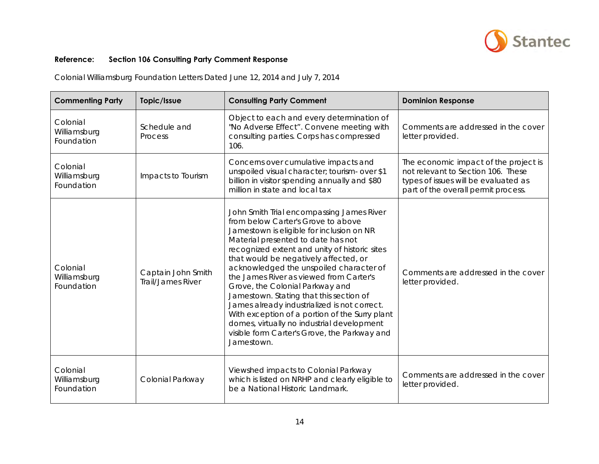

| <b>Commenting Party</b>                | Topic/Issue                             | <b>Consulting Party Comment</b>                                                                                                                                                                                                                                                                                                                                                                                                                                                                                                                                                                                                                | <b>Dominion Response</b>                                                                                                                                   |
|----------------------------------------|-----------------------------------------|------------------------------------------------------------------------------------------------------------------------------------------------------------------------------------------------------------------------------------------------------------------------------------------------------------------------------------------------------------------------------------------------------------------------------------------------------------------------------------------------------------------------------------------------------------------------------------------------------------------------------------------------|------------------------------------------------------------------------------------------------------------------------------------------------------------|
| Colonial<br>Williamsburg<br>Foundation | Schedule and<br>Process                 | Object to each and every determination of<br>"No Adverse Effect". Convene meeting with<br>consulting parties. Corps has compressed<br>106.                                                                                                                                                                                                                                                                                                                                                                                                                                                                                                     | Comments are addressed in the cover<br>letter provided.                                                                                                    |
| Colonial<br>Williamsburg<br>Foundation | Impacts to Tourism                      | Concerns over cumulative impacts and<br>unspoiled visual character; tourism- over \$1<br>billion in visitor spending annually and \$80<br>million in state and local tax                                                                                                                                                                                                                                                                                                                                                                                                                                                                       | The economic impact of the project is<br>not relevant to Section 106. These<br>types of issues will be evaluated as<br>part of the overall permit process. |
| Colonial<br>Williamsburg<br>Foundation | Captain John Smith<br>Trail/James River | John Smith Trial encompassing James River<br>from below Carter's Grove to above<br>Jamestown is eligible for inclusion on NR<br>Material presented to date has not<br>recognized extent and unity of historic sites<br>that would be negatively affected, or<br>acknowledged the unspoiled character of<br>the James River as viewed from Carter's<br>Grove, the Colonial Parkway and<br>Jamestown. Stating that this section of<br>James already industrialized is not correct.<br>With exception of a portion of the Surry plant<br>domes, virtually no industrial development<br>visible form Carter's Grove, the Parkway and<br>Jamestown. | Comments are addressed in the cover<br>letter provided.                                                                                                    |
| Colonial<br>Williamsburg<br>Foundation | Colonial Parkway                        | Viewshed impacts to Colonial Parkway<br>which is listed on NRHP and clearly eligible to<br>be a National Historic Landmark.                                                                                                                                                                                                                                                                                                                                                                                                                                                                                                                    | Comments are addressed in the cover<br>letter provided.                                                                                                    |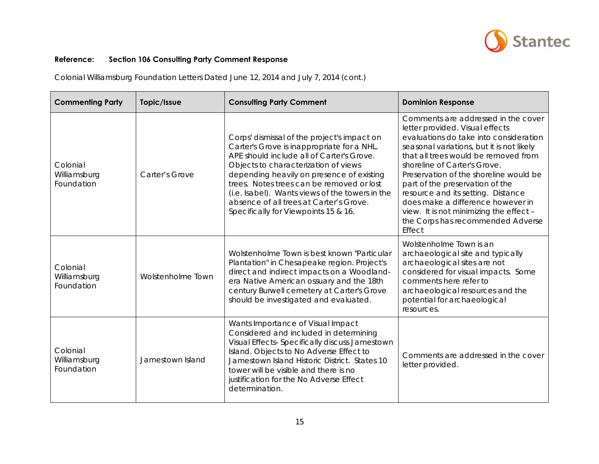

| <b>Commenting Party</b>                | Topic/Issue       | <b>Consulting Party Comment</b>                                                                                                                                                                                                                                                                                                                                                                                | <b>Dominion Response</b>                                                                                                                                                                                                                                                                                                                                                                                                                                                                |
|----------------------------------------|-------------------|----------------------------------------------------------------------------------------------------------------------------------------------------------------------------------------------------------------------------------------------------------------------------------------------------------------------------------------------------------------------------------------------------------------|-----------------------------------------------------------------------------------------------------------------------------------------------------------------------------------------------------------------------------------------------------------------------------------------------------------------------------------------------------------------------------------------------------------------------------------------------------------------------------------------|
| Colonial<br>Williamsburg<br>Foundation | Carter's Grove    | Corps' dismissal of the project's impact on<br>Carter's Grove is inappropriate for a NHL.<br>APE should include all of Carter's Grove.<br>Objects to characterization of views<br>depending heavily on presence of existing<br>trees. Notes trees can be removed or lost<br>(i.e. Isabel). Wants views of the towers in the<br>absence of all trees at Carter's Grove.<br>Specifically for Viewpoints 15 & 16. | Comments are addressed in the cover<br>letter provided. Visual effects<br>evaluations do take into consideration<br>seasonal variations, but it is not likely<br>that all trees would be removed from<br>shoreline of Carter's Grove.<br>Preservation of the shoreline would be<br>part of the preservation of the<br>resource and its setting. Distance<br>does make a difference however in<br>view. It is not minimizing the effect -<br>the Corps has recommended Adverse<br>Effect |
| Colonial<br>Williamsburg<br>Foundation | Wolstenholme Town | Wolstenholme Town is best known "Particular<br>Plantation" in Chesapeake region. Project's<br>direct and indirect impacts on a Woodland-<br>era Native American ossuary and the 18th<br>century Burwell cemetery at Carter's Grove<br>should be investigated and evaluated.                                                                                                                                    | Wolstenholme Town is an<br>archaeological site and typically<br>archaeological sites are not<br>considered for visual impacts. Some<br>comments here refer to<br>archaeological resources and the<br>potential for archaeological<br>resources.                                                                                                                                                                                                                                         |
| Colonial<br>Williamsburg<br>Foundation | Jamestown Island  | Wants Importance of Visual Impact<br>Considered and included in determining<br>Visual Effects- Specifically discuss Jamestown<br>Island. Objects to No Adverse Effect to<br>Jamestown Island Historic District. States 10<br>tower will be visible and there is no<br>justification for the No Adverse Effect<br>determination.                                                                                | Comments are addressed in the cover<br>letter provided.                                                                                                                                                                                                                                                                                                                                                                                                                                 |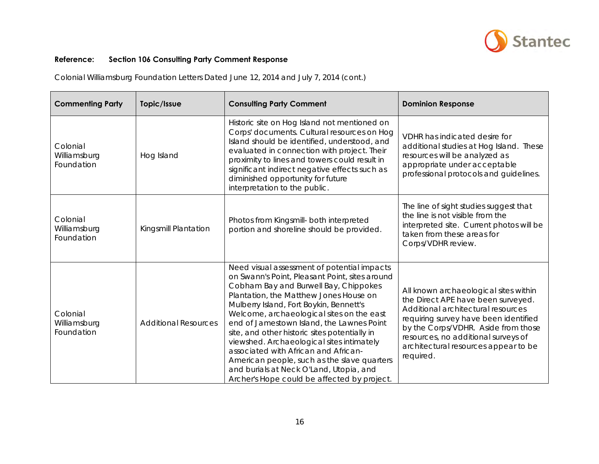

| <b>Commenting Party</b>                | Topic/Issue                 | <b>Consulting Party Comment</b>                                                                                                                                                                                                                                                                                                                                                                                                                                                                                                                                                                      | <b>Dominion Response</b>                                                                                                                                                                                                                                                                      |
|----------------------------------------|-----------------------------|------------------------------------------------------------------------------------------------------------------------------------------------------------------------------------------------------------------------------------------------------------------------------------------------------------------------------------------------------------------------------------------------------------------------------------------------------------------------------------------------------------------------------------------------------------------------------------------------------|-----------------------------------------------------------------------------------------------------------------------------------------------------------------------------------------------------------------------------------------------------------------------------------------------|
| Colonial<br>Williamsburg<br>Foundation | Hog Island                  | Historic site on Hog Island not mentioned on<br>Corps' documents. Cultural resources on Hog<br>Island should be identified, understood, and<br>evaluated in connection with project. Their<br>proximity to lines and towers could result in<br>significant indirect negative effects such as<br>diminished opportunity for future<br>interpretation to the public.                                                                                                                                                                                                                                   | VDHR has indicated desire for<br>additional studies at Hog Island. These<br>resources will be analyzed as<br>appropriate under acceptable<br>professional protocols and guidelines.                                                                                                           |
| Colonial<br>Williamsburg<br>Foundation | Kingsmill Plantation        | Photos from Kingsmill- both interpreted<br>portion and shoreline should be provided.                                                                                                                                                                                                                                                                                                                                                                                                                                                                                                                 | The line of sight studies suggest that<br>the line is not visible from the<br>interpreted site. Current photos will be<br>taken from these areas for<br>Corps/VDHR review.                                                                                                                    |
| Colonial<br>Williamsburg<br>Foundation | <b>Additional Resources</b> | Need visual assessment of potential impacts<br>on Swann's Point, Pleasant Point, sites around<br>Cobham Bay and Burwell Bay, Chippokes<br>Plantation, the Matthew Jones House on<br>Mulberry Island, Fort Boykin, Bennett's<br>Welcome, archaeological sites on the east<br>end of Jamestown Island, the Lawnes Point<br>site, and other historic sites potentially in<br>viewshed. Archaeological sites intimately<br>associated with African and African-<br>American people, such as the slave quarters<br>and burials at Neck O'Land, Utopia, and<br>Archer's Hope could be affected by project. | All known archaeological sites within<br>the Direct APE have been surveyed.<br>Additional architectural resources<br>requiring survey have been identified<br>by the Corps/VDHR. Aside from those<br>resources, no additional surveys of<br>architectural resources appear to be<br>required. |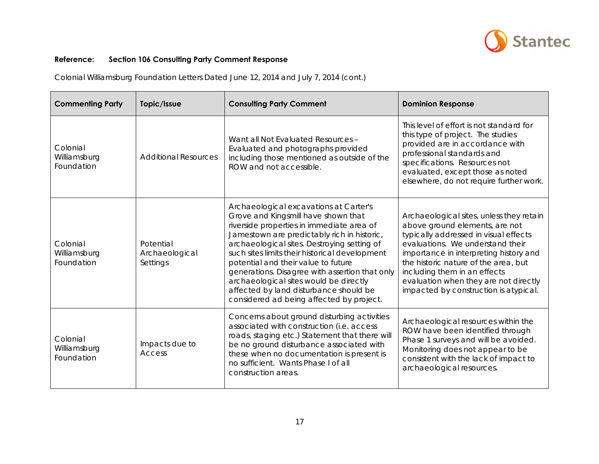

| <b>Commenting Party</b>                | Topic/Issue                             | <b>Consulting Party Comment</b>                                                                                                                                                                                                                                                                                                                                                                                                                                                                     | <b>Dominion Response</b>                                                                                                                                                                                                                                                                                                                                    |
|----------------------------------------|-----------------------------------------|-----------------------------------------------------------------------------------------------------------------------------------------------------------------------------------------------------------------------------------------------------------------------------------------------------------------------------------------------------------------------------------------------------------------------------------------------------------------------------------------------------|-------------------------------------------------------------------------------------------------------------------------------------------------------------------------------------------------------------------------------------------------------------------------------------------------------------------------------------------------------------|
| Colonial<br>Williamsburg<br>Foundation | <b>Additional Resources</b>             | Want all Not Evaluated Resources -<br>Evaluated and photographs provided<br>including those mentioned as outside of the<br>ROW and not accessible.                                                                                                                                                                                                                                                                                                                                                  | This level of effort is not standard for<br>this type of project. The studies<br>provided are in accordance with<br>professional standards and<br>specifications. Resources not<br>evaluated, except those as noted<br>elsewhere, do not require further work.                                                                                              |
| Colonial<br>Williamsburg<br>Foundation | Potential<br>Archaeological<br>Settings | Archaeological excavations at Carter's<br>Grove and Kingsmill have shown that<br>riverside properties in immediate area of<br>Jamestown are predictably rich in historic,<br>archaeological sites. Destroying setting of<br>such sites limits their historical development<br>potential and their value to future<br>generations. Disagree with assertion that only<br>archaeological sites would be directly<br>affected by land disturbance should be<br>considered ad being affected by project. | Archaeological sites, unless they retain<br>above ground elements, are not<br>typically addressed in visual effects<br>evaluations. We understand their<br>importance in interpreting history and<br>the historic nature of the area, but<br>including them in an effects<br>evaluation when they are not directly<br>impacted by construction is atypical. |
| Colonial<br>Williamsburg<br>Foundation | Impacts due to<br>Access                | Concerns about ground disturbing activities<br>associated with construction (i.e. access<br>roads, staging etc.) Statement that there will<br>be no ground disturbance associated with<br>these when no documentation is present is<br>no sufficient. Wants Phase I of all<br>construction areas.                                                                                                                                                                                                   | Archaeological resources within the<br>ROW have been identified through<br>Phase 1 surveys and will be avoided.<br>Monitoring does not appear to be<br>consistent with the lack of impact to<br>archaeological resources.                                                                                                                                   |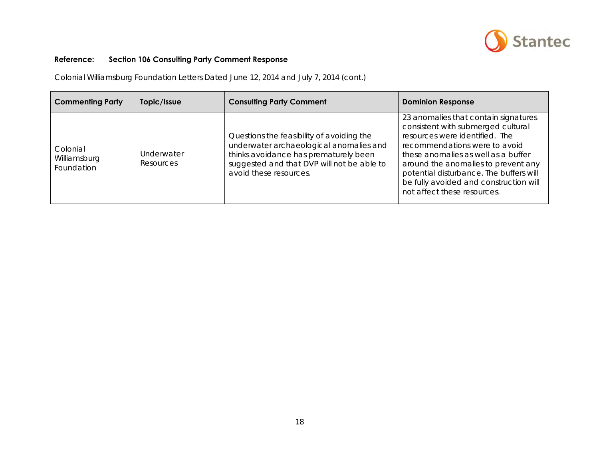

| <b>Commenting Party</b>                | Topic/Issue                    | <b>Consulting Party Comment</b>                                                                                                                                                                       | <b>Dominion Response</b>                                                                                                                                                                                                                                                                                                                        |
|----------------------------------------|--------------------------------|-------------------------------------------------------------------------------------------------------------------------------------------------------------------------------------------------------|-------------------------------------------------------------------------------------------------------------------------------------------------------------------------------------------------------------------------------------------------------------------------------------------------------------------------------------------------|
| Colonial<br>Williamsburg<br>Foundation | Underwater<br><b>Resources</b> | Questions the feasibility of avoiding the<br>underwater archaeological anomalies and<br>thinks avoidance has prematurely been<br>suggested and that DVP will not be able to<br>avoid these resources. | 23 anomalies that contain signatures<br>consistent with submerged cultural<br>resources were identified. The<br>recommendations were to avoid<br>these anomalies as well as a buffer<br>around the anomalies to prevent any<br>potential disturbance. The buffers will<br>be fully avoided and construction will<br>not affect these resources. |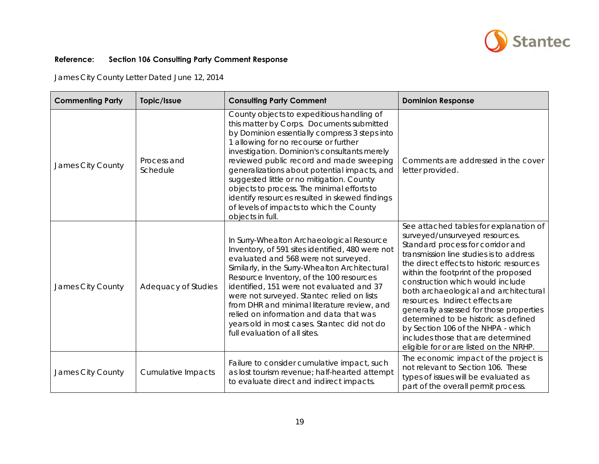

James City County Letter Dated June 12, 2014

| <b>Commenting Party</b> | Topic/Issue             | <b>Consulting Party Comment</b>                                                                                                                                                                                                                                                                                                                                                                                                                                                                                                           | <b>Dominion Response</b>                                                                                                                                                                                                                                                                                                                                                                                                                                                                                                                                               |
|-------------------------|-------------------------|-------------------------------------------------------------------------------------------------------------------------------------------------------------------------------------------------------------------------------------------------------------------------------------------------------------------------------------------------------------------------------------------------------------------------------------------------------------------------------------------------------------------------------------------|------------------------------------------------------------------------------------------------------------------------------------------------------------------------------------------------------------------------------------------------------------------------------------------------------------------------------------------------------------------------------------------------------------------------------------------------------------------------------------------------------------------------------------------------------------------------|
| James City County       | Process and<br>Schedule | County objects to expeditious handling of<br>this matter by Corps. Documents submitted<br>by Dominion essentially compress 3 steps into<br>1 allowing for no recourse or further<br>investigation. Dominion's consultants merely<br>reviewed public record and made sweeping<br>generalizations about potential impacts, and<br>suggested little or no mitigation. County<br>objects to process. The minimal efforts to<br>identify resources resulted in skewed findings<br>of levels of impacts to which the County<br>objects in full. | Comments are addressed in the cover<br>letter provided.                                                                                                                                                                                                                                                                                                                                                                                                                                                                                                                |
| James City County       | Adequacy of Studies     | In Surry-Whealton Archaeological Resource<br>Inventory, of 591 sites identified, 480 were not<br>evaluated and 568 were not surveyed.<br>Similarly, in the Surry-Whealton Architectural<br>Resource Inventory, of the 100 resources<br>identified, 151 were not evaluated and 37<br>were not surveyed. Stantec relied on lists<br>from DHR and minimal literature review, and<br>relied on information and data that was<br>years old in most cases. Stantec did not do<br>full evaluation of all sites.                                  | See attached tables for explanation of<br>surveyed/unsurveyed resources.<br>Standard process for corridor and<br>transmission line studies is to address<br>the direct effects to historic resources<br>within the footprint of the proposed<br>construction which would include<br>both archaeological and architectural<br>resources. Indirect effects are<br>generally assessed for those properties<br>determined to be historic as defined<br>by Section 106 of the NHPA - which<br>includes those that are determined<br>eligible for or are listed on the NRHP. |
| James City County       | Cumulative Impacts      | Failure to consider cumulative impact, such<br>as lost tourism revenue; half-hearted attempt<br>to evaluate direct and indirect impacts.                                                                                                                                                                                                                                                                                                                                                                                                  | The economic impact of the project is<br>not relevant to Section 106. These<br>types of issues will be evaluated as<br>part of the overall permit process.                                                                                                                                                                                                                                                                                                                                                                                                             |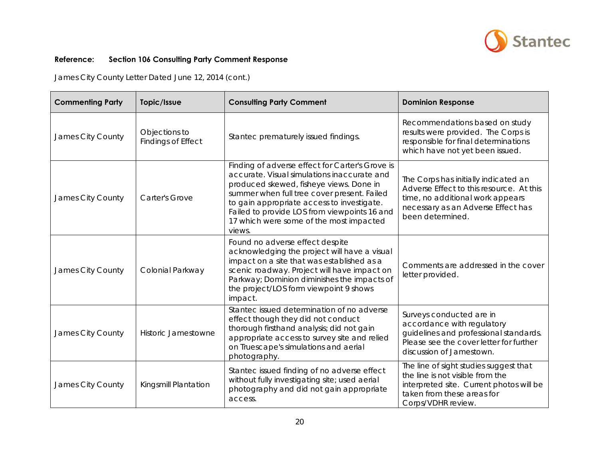

James City County Letter Dated June 12, 2014 (cont.)

| <b>Commenting Party</b> | Topic/Issue                         | <b>Consulting Party Comment</b>                                                                                                                                                                                                                                                                                                             | <b>Dominion Response</b>                                                                                                                                                       |
|-------------------------|-------------------------------------|---------------------------------------------------------------------------------------------------------------------------------------------------------------------------------------------------------------------------------------------------------------------------------------------------------------------------------------------|--------------------------------------------------------------------------------------------------------------------------------------------------------------------------------|
| James City County       | Objections to<br>Findings of Effect | Stantec prematurely issued findings.                                                                                                                                                                                                                                                                                                        | Recommendations based on study<br>results were provided. The Corps is<br>responsible for final determinations<br>which have not yet been issued.                               |
| James City County       | <b>Carter's Grove</b>               | Finding of adverse effect for Carter's Grove is<br>accurate. Visual simulations inaccurate and<br>produced skewed, fisheye views. Done in<br>summer when full tree cover present. Failed<br>to gain appropriate access to investigate.<br>Failed to provide LOS from viewpoints 16 and<br>17 which were some of the most impacted<br>views. | The Corps has initially indicated an<br>Adverse Effect to this resource. At this<br>time, no additional work appears<br>necessary as an Adverse Effect has<br>been determined. |
| James City County       | Colonial Parkway                    | Found no adverse effect despite<br>acknowledging the project will have a visual<br>impact on a site that was established as a<br>scenic roadway. Project will have impact on<br>Parkway; Dominion diminishes the impacts of<br>the project/LOS form viewpoint 9 shows<br>impact.                                                            | Comments are addressed in the cover<br>letter provided.                                                                                                                        |
| James City County       | <b>Historic Jamestowne</b>          | Stantec issued determination of no adverse<br>effect though they did not conduct<br>thorough firsthand analysis; did not gain<br>appropriate access to survey site and relied<br>on Truescape's simulations and aerial<br>photography.                                                                                                      | Surveys conducted are in<br>accordance with regulatory<br>guidelines and professional standards.<br>Please see the cover letter for further<br>discussion of Jamestown.        |
| James City County       | Kingsmill Plantation                | Stantec issued finding of no adverse effect<br>without fully investigating site; used aerial<br>photography and did not gain appropriate<br>access.                                                                                                                                                                                         | The line of sight studies suggest that<br>the line is not visible from the<br>interpreted site. Current photos will be<br>taken from these areas for<br>Corps/VDHR review.     |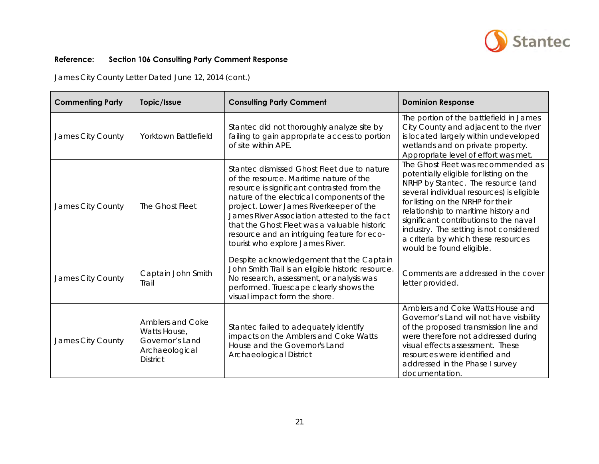

James City County Letter Dated June 12, 2014 (cont.)

| <b>Commenting Party</b> | Topic/Issue                                                                                     | <b>Consulting Party Comment</b>                                                                                                                                                                                                                                                                                                                                                                                   | <b>Dominion Response</b>                                                                                                                                                                                                                                                                                                                                                                              |
|-------------------------|-------------------------------------------------------------------------------------------------|-------------------------------------------------------------------------------------------------------------------------------------------------------------------------------------------------------------------------------------------------------------------------------------------------------------------------------------------------------------------------------------------------------------------|-------------------------------------------------------------------------------------------------------------------------------------------------------------------------------------------------------------------------------------------------------------------------------------------------------------------------------------------------------------------------------------------------------|
| James City County       | Yorktown Battlefield                                                                            | Stantec did not thoroughly analyze site by<br>failing to gain appropriate access to portion<br>of site within APE.                                                                                                                                                                                                                                                                                                | The portion of the battlefield in James<br>City County and adjacent to the river<br>is located largely within undeveloped<br>wetlands and on private property.<br>Appropriate level of effort was met.                                                                                                                                                                                                |
| James City County       | The Ghost Fleet                                                                                 | Stantec dismissed Ghost Fleet due to nature<br>of the resource. Maritime nature of the<br>resource is significant contrasted from the<br>nature of the electrical components of the<br>project. Lower James Riverkeeper of the<br>James River Association attested to the fact<br>that the Ghost Fleet was a valuable historic<br>resource and an intriguing feature for eco-<br>tourist who explore James River. | The Ghost Fleet was recommended as<br>potentially eligible for listing on the<br>NRHP by Stantec. The resource (and<br>several individual resources) is eligible<br>for listing on the NRHP for their<br>relationship to maritime history and<br>significant contributions to the naval<br>industry. The setting is not considered<br>a criteria by which these resources<br>would be found eligible. |
| James City County       | Captain John Smith<br>Trail                                                                     | Despite acknowledgement that the Captain<br>John Smith Trail is an eligible historic resource.<br>No research, assessment, or analysis was<br>performed. Truescape clearly shows the<br>visual impact form the shore.                                                                                                                                                                                             | Comments are addressed in the cover<br>letter provided.                                                                                                                                                                                                                                                                                                                                               |
| James City County       | <b>Amblers and Coke</b><br>Watts House,<br>Governor's Land<br>Archaeological<br><b>District</b> | Stantec failed to adequately identify<br>impacts on the Amblers and Coke Watts<br>House and the Governor's Land<br>Archaeological District                                                                                                                                                                                                                                                                        | Amblers and Coke Watts House and<br>Governor's Land will not have visibility<br>of the proposed transmission line and<br>were therefore not addressed during<br>visual effects assessment. These<br>resources were identified and<br>addressed in the Phase I survey<br>documentation.                                                                                                                |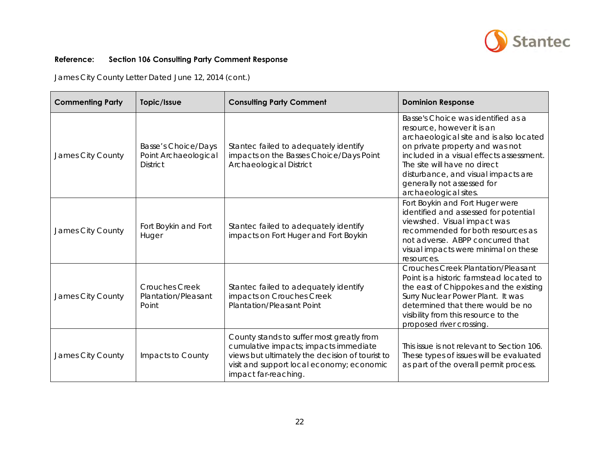

James City County Letter Dated June 12, 2014 (cont.)

| <b>Commenting Party</b> | Topic/Issue                                                    | <b>Consulting Party Comment</b>                                                                                                                                                                            | <b>Dominion Response</b>                                                                                                                                                                                                                                                                                                 |
|-------------------------|----------------------------------------------------------------|------------------------------------------------------------------------------------------------------------------------------------------------------------------------------------------------------------|--------------------------------------------------------------------------------------------------------------------------------------------------------------------------------------------------------------------------------------------------------------------------------------------------------------------------|
| James City County       | Basse's Choice/Days<br>Point Archaeological<br><b>District</b> | Stantec failed to adequately identify<br>impacts on the Basses Choice/Days Point<br>Archaeological District                                                                                                | Basse's Choice was identified as a<br>resource, however it is an<br>archaeological site and is also located<br>on private property and was not<br>included in a visual effects assessment.<br>The site will have no direct<br>disturbance, and visual impacts are<br>generally not assessed for<br>archaeological sites. |
| James City County       | Fort Boykin and Fort<br>Huger                                  | Stantec failed to adequately identify<br>impacts on Fort Huger and Fort Boykin                                                                                                                             | Fort Boykin and Fort Huger were<br>identified and assessed for potential<br>viewshed. Visual impact was<br>recommended for both resources as<br>not adverse. ABPP concurred that<br>visual impacts were minimal on these<br>resources.                                                                                   |
| James City County       | <b>Crouches Creek</b><br>Plantation/Pleasant<br>Point          | Stantec failed to adequately identify<br>impacts on Crouches Creek<br><b>Plantation/Pleasant Point</b>                                                                                                     | <b>Crouches Creek Plantation/Pleasant</b><br>Point is a historic farmstead located to<br>the east of Chippokes and the existing<br>Surry Nuclear Power Plant. It was<br>determined that there would be no<br>visibility from this resource to the<br>proposed river crossing.                                            |
| James City County       | Impacts to County                                              | County stands to suffer most greatly from<br>cumulative impacts; impacts immediate<br>views but ultimately the decision of tourist to<br>visit and support local economy; economic<br>impact far-reaching. | This issue is not relevant to Section 106.<br>These types of issues will be evaluated<br>as part of the overall permit process.                                                                                                                                                                                          |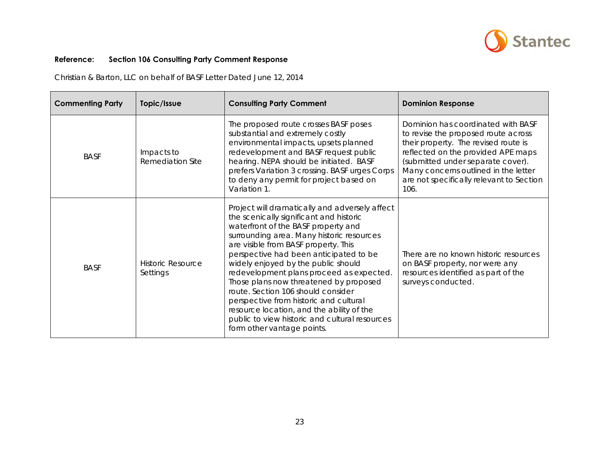

Christian & Barton, LLC on behalf of BASF Letter Dated June 12, 2014

| <b>Commenting Party</b> | Topic/Issue                           | <b>Consulting Party Comment</b>                                                                                                                                                                                                                                                                                                                                                                                                                                                                                                                                                                           | <b>Dominion Response</b>                                                                                                                                                                                                                                                                 |
|-------------------------|---------------------------------------|-----------------------------------------------------------------------------------------------------------------------------------------------------------------------------------------------------------------------------------------------------------------------------------------------------------------------------------------------------------------------------------------------------------------------------------------------------------------------------------------------------------------------------------------------------------------------------------------------------------|------------------------------------------------------------------------------------------------------------------------------------------------------------------------------------------------------------------------------------------------------------------------------------------|
| <b>BASF</b>             | Impacts to<br><b>Remediation Site</b> | The proposed route crosses BASF poses<br>substantial and extremely costly<br>environmental impacts, upsets planned<br>redevelopment and BASF request public<br>hearing. NEPA should be initiated. BASF<br>prefers Variation 3 crossing. BASF urges Corps<br>to deny any permit for project based on<br>Variation 1.                                                                                                                                                                                                                                                                                       | Dominion has coordinated with BASF<br>to revise the proposed route across<br>their property. The revised route is<br>reflected on the provided APE maps<br>(submitted under separate cover).<br>Many concerns outlined in the letter<br>are not specifically relevant to Section<br>106. |
| <b>BASF</b>             | <b>Historic Resource</b><br>Settings  | Project will dramatically and adversely affect<br>the scenically significant and historic<br>waterfront of the BASF property and<br>surrounding area. Many historic resources<br>are visible from BASF property. This<br>perspective had been anticipated to be<br>widely enjoyed by the public should<br>redevelopment plans proceed as expected.<br>Those plans now threatened by proposed<br>route. Section 106 should consider<br>perspective from historic and cultural<br>resource location, and the ability of the<br>public to view historic and cultural resources<br>form other vantage points. | There are no known historic resources<br>on BASF property, nor were any<br>resources identified as part of the<br>surveys conducted.                                                                                                                                                     |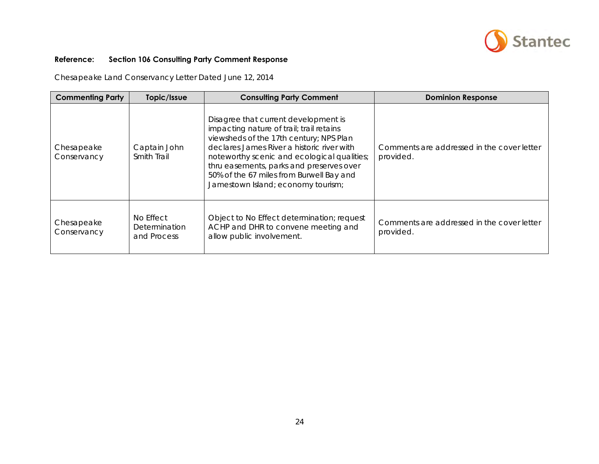

Chesapeake Land Conservancy Letter Dated June 12, 2014

| <b>Commenting Party</b>   | Topic/Issue                                      | <b>Consulting Party Comment</b>                                                                                                                                                                                                                                                                                                                        | <b>Dominion Response</b>                                |
|---------------------------|--------------------------------------------------|--------------------------------------------------------------------------------------------------------------------------------------------------------------------------------------------------------------------------------------------------------------------------------------------------------------------------------------------------------|---------------------------------------------------------|
| Chesapeake<br>Conservancy | Captain John<br><b>Smith Trail</b>               | Disagree that current development is<br>impacting nature of trail; trail retains<br>viewsheds of the 17th century; NPS Plan<br>declares James River a historic river with<br>noteworthy scenic and ecological qualities;<br>thru easements, parks and preserves over<br>50% of the 67 miles from Burwell Bay and<br>Jamestown Island; economy tourism; | Comments are addressed in the cover letter<br>provided. |
| Chesapeake<br>Conservancy | No Effect<br><b>Determination</b><br>and Process | Object to No Effect determination; request<br>ACHP and DHR to convene meeting and<br>allow public involvement.                                                                                                                                                                                                                                         | Comments are addressed in the cover letter<br>provided. |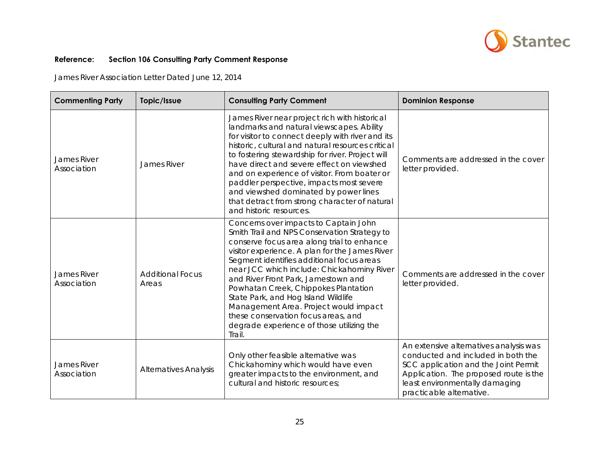

James River Association Letter Dated June 12, 2014

| <b>Commenting Party</b>           | Topic/Issue                      | <b>Consulting Party Comment</b>                                                                                                                                                                                                                                                                                                                                                                                                                                                                                                               | <b>Dominion Response</b>                                                                                                                                                                                                     |
|-----------------------------------|----------------------------------|-----------------------------------------------------------------------------------------------------------------------------------------------------------------------------------------------------------------------------------------------------------------------------------------------------------------------------------------------------------------------------------------------------------------------------------------------------------------------------------------------------------------------------------------------|------------------------------------------------------------------------------------------------------------------------------------------------------------------------------------------------------------------------------|
| James River<br>Association        | <b>James River</b>               | James River near project rich with historical<br>landmarks and natural viewscapes. Ability<br>for visitor to connect deeply with river and its<br>historic, cultural and natural resources critical<br>to fostering stewardship for river. Project will<br>have direct and severe effect on viewshed<br>and on experience of visitor. From boater or<br>paddler perspective, impacts most severe<br>and viewshed dominated by power lines<br>that detract from strong character of natural<br>and historic resources.                         | Comments are addressed in the cover<br>letter provided.                                                                                                                                                                      |
| <b>James River</b><br>Association | <b>Additional Focus</b><br>Areas | Concerns over impacts to Captain John<br>Smith Trail and NPS Conservation Strategy to<br>conserve focus area along trial to enhance<br>visitor experience. A plan for the James River<br>Segment identifies additional focus areas<br>near JCC which include: Chickahominy River<br>and River Front Park, Jamestown and<br>Powhatan Creek, Chippokes Plantation<br>State Park, and Hog Island Wildlife<br>Management Area. Project would impact<br>these conservation focus areas, and<br>degrade experience of those utilizing the<br>Trail. | Comments are addressed in the cover<br>letter provided.                                                                                                                                                                      |
| James River<br>Association        | <b>Alternatives Analysis</b>     | Only other feasible alternative was<br>Chickahominy which would have even<br>greater impacts to the environment, and<br>cultural and historic resources;                                                                                                                                                                                                                                                                                                                                                                                      | An extensive alternatives analysis was<br>conducted and included in both the<br>SCC application and the Joint Permit<br>Application. The proposed route is the<br>least environmentally damaging<br>practicable alternative. |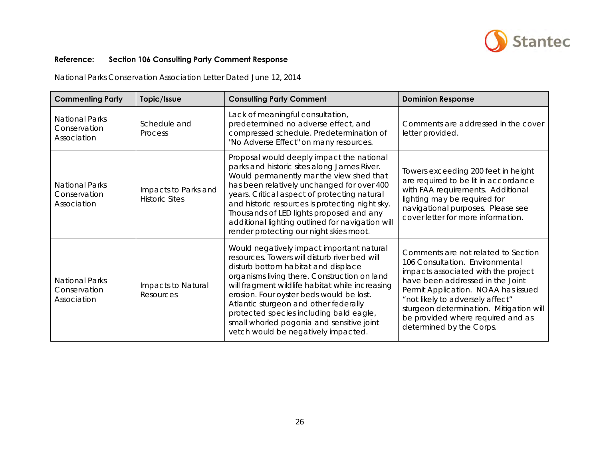

National Parks Conservation Association Letter Dated June 12, 2014

| <b>Commenting Party</b>                              | Topic/Issue                                   | <b>Consulting Party Comment</b>                                                                                                                                                                                                                                                                                                                                                                                                                          | <b>Dominion Response</b>                                                                                                                                                                                                                                                                                                                 |
|------------------------------------------------------|-----------------------------------------------|----------------------------------------------------------------------------------------------------------------------------------------------------------------------------------------------------------------------------------------------------------------------------------------------------------------------------------------------------------------------------------------------------------------------------------------------------------|------------------------------------------------------------------------------------------------------------------------------------------------------------------------------------------------------------------------------------------------------------------------------------------------------------------------------------------|
| <b>National Parks</b><br>Conservation<br>Association | Schedule and<br>Process                       | Lack of meaningful consultation,<br>predetermined no adverse effect, and<br>compressed schedule. Predetermination of<br>"No Adverse Effect" on many resources.                                                                                                                                                                                                                                                                                           | Comments are addressed in the cover<br>letter provided.                                                                                                                                                                                                                                                                                  |
| <b>National Parks</b><br>Conservation<br>Association | Impacts to Parks and<br><b>Historic Sites</b> | Proposal would deeply impact the national<br>parks and historic sites along James River.<br>Would permanently mar the view shed that<br>has been relatively unchanged for over 400<br>years. Critical aspect of protecting natural<br>and historic resources is protecting night sky.<br>Thousands of LED lights proposed and any<br>additional lighting outlined for navigation will<br>render protecting our night skies moot.                         | Towers exceeding 200 feet in height<br>are required to be lit in accordance<br>with FAA requirements. Additional<br>lighting may be required for<br>navigational purposes. Please see<br>cover letter for more information.                                                                                                              |
| <b>National Parks</b><br>Conservation<br>Association | Impacts to Natural<br>Resources               | Would negatively impact important natural<br>resources. Towers will disturb river bed will<br>disturb bottom habitat and displace<br>organisms living there. Construction on land<br>will fragment wildlife habitat while increasing<br>erosion. Four oyster beds would be lost.<br>Atlantic sturgeon and other federally<br>protected species including bald eagle,<br>small whorled pogonia and sensitive joint<br>vetch would be negatively impacted. | Comments are not related to Section<br>106 Consultation. Environmental<br>impacts associated with the project<br>have been addressed in the Joint<br>Permit Application. NOAA has issued<br>"not likely to adversely affect"<br>sturgeon determination. Mitigation will<br>be provided where required and as<br>determined by the Corps. |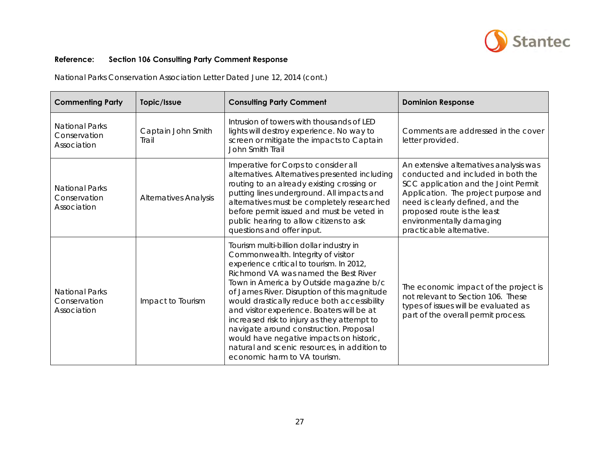

National Parks Conservation Association Letter Dated June 12, 2014 (cont.)

| <b>Commenting Party</b>                              | Topic/Issue                  | <b>Consulting Party Comment</b>                                                                                                                                                                                                                                                                                                                                                                                                                                                                                                                                                 | <b>Dominion Response</b>                                                                                                                                                                                                                                                                |
|------------------------------------------------------|------------------------------|---------------------------------------------------------------------------------------------------------------------------------------------------------------------------------------------------------------------------------------------------------------------------------------------------------------------------------------------------------------------------------------------------------------------------------------------------------------------------------------------------------------------------------------------------------------------------------|-----------------------------------------------------------------------------------------------------------------------------------------------------------------------------------------------------------------------------------------------------------------------------------------|
| <b>National Parks</b><br>Conservation<br>Association | Captain John Smith<br>Trail  | Intrusion of towers with thousands of LED<br>lights will destroy experience. No way to<br>screen or mitigate the impacts to Captain<br>John Smith Trail                                                                                                                                                                                                                                                                                                                                                                                                                         | Comments are addressed in the cover<br>letter provided.                                                                                                                                                                                                                                 |
| <b>National Parks</b><br>Conservation<br>Association | <b>Alternatives Analysis</b> | Imperative for Corps to consider all<br>alternatives. Alternatives presented including<br>routing to an already existing crossing or<br>putting lines underground. All impacts and<br>alternatives must be completely researched<br>before permit issued and must be veted in<br>public hearing to allow citizens to ask<br>questions and offer input.                                                                                                                                                                                                                          | An extensive alternatives analysis was<br>conducted and included in both the<br>SCC application and the Joint Permit<br>Application. The project purpose and<br>need is clearly defined, and the<br>proposed route is the least<br>environmentally damaging<br>practicable alternative. |
| <b>National Parks</b><br>Conservation<br>Association | Impact to Tourism            | Tourism multi-billion dollar industry in<br>Commonwealth. Integrity of visitor<br>experience critical to tourism. In 2012,<br>Richmond VA was named the Best River<br>Town in America by Outside magazine b/c<br>of James River. Disruption of this magnitude<br>would drastically reduce both accessibility<br>and visitor experience. Boaters will be at<br>increased risk to injury as they attempt to<br>navigate around construction. Proposal<br>would have negative impacts on historic,<br>natural and scenic resources, in addition to<br>economic harm to VA tourism. | The economic impact of the project is<br>not relevant to Section 106. These<br>types of issues will be evaluated as<br>part of the overall permit process.                                                                                                                              |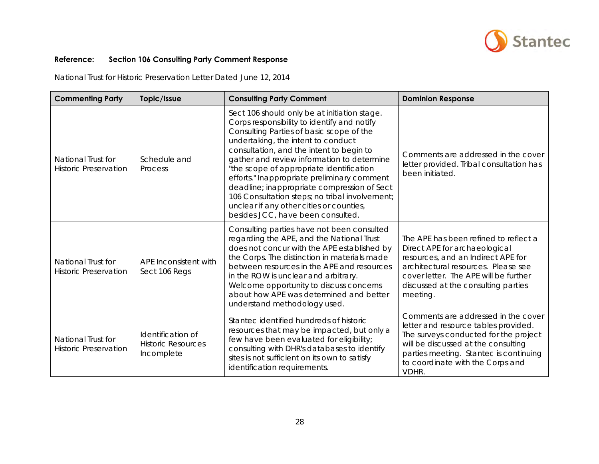

| <b>Commenting Party</b>                            | Topic/Issue                                                  | <b>Consulting Party Comment</b>                                                                                                                                                                                                                                                                                                                                                                                                                                                                                                                      | <b>Dominion Response</b>                                                                                                                                                                                                                           |
|----------------------------------------------------|--------------------------------------------------------------|------------------------------------------------------------------------------------------------------------------------------------------------------------------------------------------------------------------------------------------------------------------------------------------------------------------------------------------------------------------------------------------------------------------------------------------------------------------------------------------------------------------------------------------------------|----------------------------------------------------------------------------------------------------------------------------------------------------------------------------------------------------------------------------------------------------|
| National Trust for<br><b>Historic Preservation</b> | Schedule and<br>Process                                      | Sect 106 should only be at initiation stage.<br>Corps responsibility to identify and notify<br>Consulting Parties of basic scope of the<br>undertaking, the intent to conduct<br>consultation, and the intent to begin to<br>gather and review information to determine<br>"the scope of appropriate identification<br>efforts." Inappropriate preliminary comment<br>deadline; inappropriate compression of Sect<br>106 Consultation steps; no tribal involvement;<br>unclear if any other cities or counties,<br>besides JCC, have been consulted. | Comments are addressed in the cover<br>letter provided. Tribal consultation has<br>been initiated.                                                                                                                                                 |
| National Trust for<br><b>Historic Preservation</b> | APE Inconsistent with<br>Sect 106 Regs                       | Consulting parties have not been consulted<br>regarding the APE, and the National Trust<br>does not concur with the APE established by<br>the Corps. The distinction in materials made<br>between resources in the APE and resources<br>in the ROW is unclear and arbitrary.<br>Welcome opportunity to discuss concerns<br>about how APE was determined and better<br>understand methodology used.                                                                                                                                                   | The APE has been refined to reflect a<br>Direct APE for archaeological<br>resources, and an Indirect APE for<br>architectural resources. Please see<br>cover letter. The APE will be further<br>discussed at the consulting parties<br>meeting.    |
| National Trust for<br><b>Historic Preservation</b> | Identification of<br><b>Historic Resources</b><br>Incomplete | Stantec identified hundreds of historic<br>resources that may be impacted, but only a<br>few have been evaluated for eligibility;<br>consulting with DHR's databases to identify<br>sites is not sufficient on its own to satisfy<br>identification requirements.                                                                                                                                                                                                                                                                                    | Comments are addressed in the cover<br>letter and resource tables provided.<br>The surveys conducted for the project<br>will be discussed at the consulting<br>parties meeting. Stantec is continuing<br>to coordinate with the Corps and<br>VDHR. |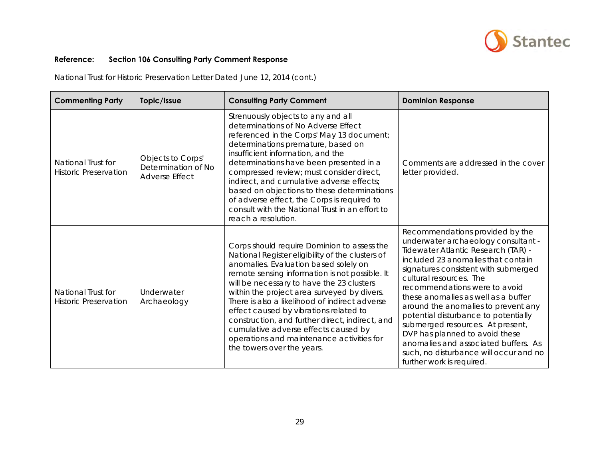

| <b>Commenting Party</b>                            | Topic/Issue                                                       | <b>Consulting Party Comment</b>                                                                                                                                                                                                                                                                                                                                                                                                                                                                                                                          | <b>Dominion Response</b>                                                                                                                                                                                                                                                                                                                                                                                                                                                                                                                                           |
|----------------------------------------------------|-------------------------------------------------------------------|----------------------------------------------------------------------------------------------------------------------------------------------------------------------------------------------------------------------------------------------------------------------------------------------------------------------------------------------------------------------------------------------------------------------------------------------------------------------------------------------------------------------------------------------------------|--------------------------------------------------------------------------------------------------------------------------------------------------------------------------------------------------------------------------------------------------------------------------------------------------------------------------------------------------------------------------------------------------------------------------------------------------------------------------------------------------------------------------------------------------------------------|
| National Trust for<br><b>Historic Preservation</b> | Objects to Corps'<br>Determination of No<br><b>Adverse Effect</b> | Strenuously objects to any and all<br>determinations of No Adverse Effect<br>referenced in the Corps' May 13 document;<br>determinations premature, based on<br>insufficient information, and the<br>determinations have been presented in a<br>compressed review; must consider direct,<br>indirect, and cumulative adverse effects;<br>based on objections to these determinations<br>of adverse effect, the Corps is required to<br>consult with the National Trust in an effort to<br>reach a resolution.                                            | Comments are addressed in the cover<br>letter provided.                                                                                                                                                                                                                                                                                                                                                                                                                                                                                                            |
| National Trust for<br><b>Historic Preservation</b> | Underwater<br>Archaeology                                         | Corps should require Dominion to assess the<br>National Register eligibility of the clusters of<br>anomalies. Evaluation based solely on<br>remote sensing information is not possible. It<br>will be necessary to have the 23 clusters<br>within the project area surveyed by divers.<br>There is also a likelihood of indirect adverse<br>effect caused by vibrations related to<br>construction, and further direct, indirect, and<br>cumulative adverse effects caused by<br>operations and maintenance activities for<br>the towers over the years. | Recommendations provided by the<br>underwater archaeology consultant -<br>Tidewater Atlantic Research (TAR) -<br>included 23 anomalies that contain<br>signatures consistent with submerged<br>cultural resources. The<br>recommendations were to avoid<br>these anomalies as well as a buffer<br>around the anomalies to prevent any<br>potential disturbance to potentially<br>submerged resources. At present,<br>DVP has planned to avoid these<br>anomalies and associated buffers. As<br>such, no disturbance will occur and no<br>further work is required. |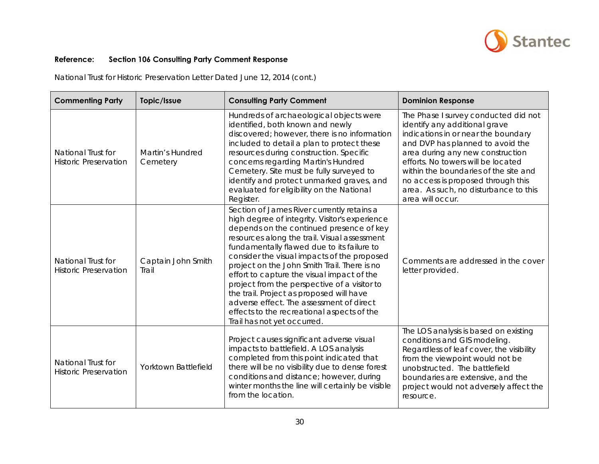

| <b>Commenting Party</b>                            | Topic/Issue                         | <b>Consulting Party Comment</b>                                                                                                                                                                                                                                                                                                                                                                                                                                                                                                                                                                          | <b>Dominion Response</b>                                                                                                                                                                                                                                                                                                                                               |
|----------------------------------------------------|-------------------------------------|----------------------------------------------------------------------------------------------------------------------------------------------------------------------------------------------------------------------------------------------------------------------------------------------------------------------------------------------------------------------------------------------------------------------------------------------------------------------------------------------------------------------------------------------------------------------------------------------------------|------------------------------------------------------------------------------------------------------------------------------------------------------------------------------------------------------------------------------------------------------------------------------------------------------------------------------------------------------------------------|
| National Trust for<br><b>Historic Preservation</b> | <b>Martin's Hundred</b><br>Cemetery | Hundreds of archaeological objects were<br>identified, both known and newly<br>discovered; however, there is no information<br>included to detail a plan to protect these<br>resources during construction. Specific<br>concerns regarding Martin's Hundred<br>Cemetery. Site must be fully surveyed to<br>identify and protect unmarked graves, and<br>evaluated for eligibility on the National<br>Register.                                                                                                                                                                                           | The Phase I survey conducted did not<br>identify any additional grave<br>indications in or near the boundary<br>and DVP has planned to avoid the<br>area during any new construction<br>efforts. No towers will be located<br>within the boundaries of the site and<br>no access is proposed through this<br>area. As such, no disturbance to this<br>area will occur. |
| National Trust for<br><b>Historic Preservation</b> | Captain John Smith<br>Trail         | Section of James River currently retains a<br>high degree of integrity. Visitor's experience<br>depends on the continued presence of key<br>resources along the trail. Visual assessment<br>fundamentally flawed due to its failure to<br>consider the visual impacts of the proposed<br>project on the John Smith Trail. There is no<br>effort to capture the visual impact of the<br>project from the perspective of a visitor to<br>the trail. Project as proposed will have<br>adverse effect. The assessment of direct<br>effects to the recreational aspects of the<br>Trail has not yet occurred. | Comments are addressed in the cover<br>letter provided.                                                                                                                                                                                                                                                                                                                |
| National Trust for<br><b>Historic Preservation</b> | Yorktown Battlefield                | Project causes significant adverse visual<br>impacts to battlefield. A LOS analysis<br>completed from this point indicated that<br>there will be no visibility due to dense forest<br>conditions and distance; however, during<br>winter months the line will certainly be visible<br>from the location.                                                                                                                                                                                                                                                                                                 | The LOS analysis is based on existing<br>conditions and GIS modeling.<br>Regardless of leaf cover, the visibility<br>from the viewpoint would not be<br>unobstructed. The battlefield<br>boundaries are extensive, and the<br>project would not adversely affect the<br>resource.                                                                                      |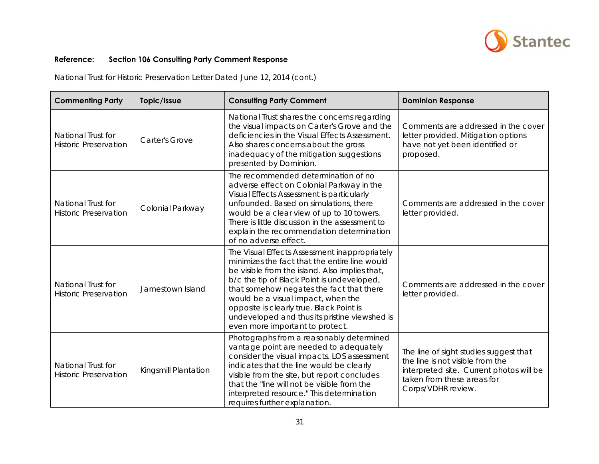

| <b>Commenting Party</b>                            | Topic/Issue           | <b>Consulting Party Comment</b>                                                                                                                                                                                                                                                                                                                                                                                  | <b>Dominion Response</b>                                                                                                                                                   |
|----------------------------------------------------|-----------------------|------------------------------------------------------------------------------------------------------------------------------------------------------------------------------------------------------------------------------------------------------------------------------------------------------------------------------------------------------------------------------------------------------------------|----------------------------------------------------------------------------------------------------------------------------------------------------------------------------|
| National Trust for<br><b>Historic Preservation</b> | <b>Carter's Grove</b> | National Trust shares the concerns regarding<br>the visual impacts on Carter's Grove and the<br>deficiencies in the Visual Effects Assessment.<br>Also shares concerns about the gross<br>inadequacy of the mitigation suggestions<br>presented by Dominion.                                                                                                                                                     | Comments are addressed in the cover<br>letter provided. Mitigation options<br>have not yet been identified or<br>proposed.                                                 |
| National Trust for<br><b>Historic Preservation</b> | Colonial Parkway      | The recommended determination of no<br>adverse effect on Colonial Parkway in the<br>Visual Effects Assessment is particularly<br>unfounded. Based on simulations, there<br>would be a clear view of up to 10 towers.<br>There is little discussion in the assessment to<br>explain the recommendation determination<br>of no adverse effect.                                                                     | Comments are addressed in the cover<br>letter provided.                                                                                                                    |
| National Trust for<br><b>Historic Preservation</b> | Jamestown Island      | The Visual Effects Assessment inappropriately<br>minimizes the fact that the entire line would<br>be visible from the island. Also implies that,<br>b/c the tip of Black Point is undeveloped,<br>that somehow negates the fact that there<br>would be a visual impact, when the<br>opposite is clearly true. Black Point is<br>undeveloped and thus its pristine viewshed is<br>even more important to protect. | Comments are addressed in the cover<br>letter provided.                                                                                                                    |
| National Trust for<br><b>Historic Preservation</b> | Kingsmill Plantation  | Photographs from a reasonably determined<br>vantage point are needed to adequately<br>consider the visual impacts. LOS assessment<br>indicates that the line would be clearly<br>visible from the site, but report concludes<br>that the "line will not be visible from the<br>interpreted resource." This determination<br>requires further explanation.                                                        | The line of sight studies suggest that<br>the line is not visible from the<br>interpreted site. Current photos will be<br>taken from these areas for<br>Corps/VDHR review. |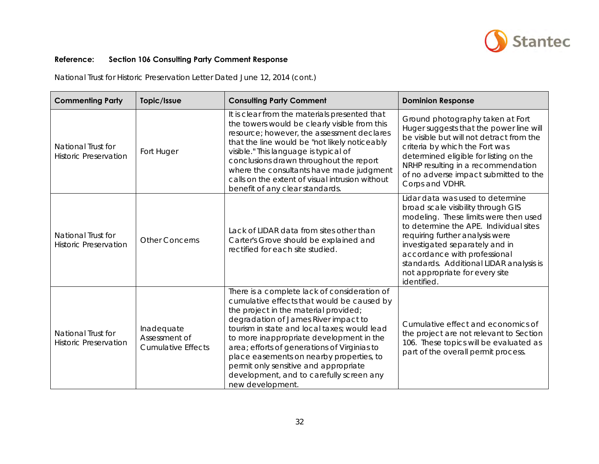

| <b>Commenting Party</b>                            | Topic/Issue                                              | <b>Consulting Party Comment</b>                                                                                                                                                                                                                                                                                                                                                                                                                                              | <b>Dominion Response</b>                                                                                                                                                                                                                                                                                                                                  |
|----------------------------------------------------|----------------------------------------------------------|------------------------------------------------------------------------------------------------------------------------------------------------------------------------------------------------------------------------------------------------------------------------------------------------------------------------------------------------------------------------------------------------------------------------------------------------------------------------------|-----------------------------------------------------------------------------------------------------------------------------------------------------------------------------------------------------------------------------------------------------------------------------------------------------------------------------------------------------------|
| National Trust for<br><b>Historic Preservation</b> | Fort Huger                                               | It is clear from the materials presented that<br>the towers would be clearly visible from this<br>resource; however, the assessment declares<br>that the line would be "not likely noticeably<br>visible." This language is typical of<br>conclusions drawn throughout the report<br>where the consultants have made judgment<br>calls on the extent of visual intrusion without<br>benefit of any clear standards.                                                          | Ground photography taken at Fort<br>Huger suggests that the power line will<br>be visible but will not detract from the<br>criteria by which the Fort was<br>determined eligible for listing on the<br>NRHP resulting in a recommendation<br>of no adverse impact submitted to the<br>Corps and VDHR.                                                     |
| National Trust for<br><b>Historic Preservation</b> | <b>Other Concerns</b>                                    | Lack of LIDAR data from sites other than<br>Carter's Grove should be explained and<br>rectified for each site studied.                                                                                                                                                                                                                                                                                                                                                       | Lidar data was used to determine<br>broad scale visibility through GIS<br>modeling. These limits were then used<br>to determine the APE. Individual sites<br>requiring further analysis were<br>investigated separately and in<br>accordance with professional<br>standards. Additional LIDAR analysis is<br>not appropriate for every site<br>identified |
| National Trust for<br><b>Historic Preservation</b> | Inadequate<br>Assessment of<br><b>Cumulative Effects</b> | There is a complete lack of consideration of<br>cumulative effects that would be caused by<br>the project in the material provided;<br>degradation of James River impact to<br>tourism in state and local taxes; would lead<br>to more inappropriate development in the<br>area; efforts of generations of Virginias to<br>place easements on nearby properties, to<br>permit only sensitive and appropriate<br>development, and to carefully screen any<br>new development. | Cumulative effect and economics of<br>the project are not relevant to Section<br>106. These topics will be evaluated as<br>part of the overall permit process.                                                                                                                                                                                            |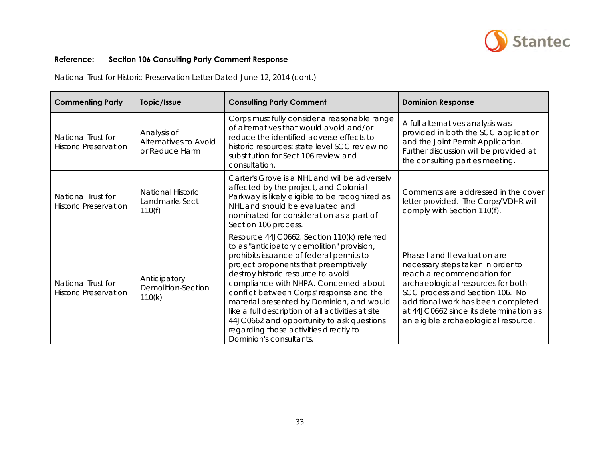

| <b>Commenting Party</b>                            | Topic/Issue                                            | <b>Consulting Party Comment</b>                                                                                                                                                                                                                                                                                                                                                                                                                                                                                             | <b>Dominion Response</b>                                                                                                                                                                                                                                                                         |
|----------------------------------------------------|--------------------------------------------------------|-----------------------------------------------------------------------------------------------------------------------------------------------------------------------------------------------------------------------------------------------------------------------------------------------------------------------------------------------------------------------------------------------------------------------------------------------------------------------------------------------------------------------------|--------------------------------------------------------------------------------------------------------------------------------------------------------------------------------------------------------------------------------------------------------------------------------------------------|
| National Trust for<br><b>Historic Preservation</b> | Analysis of<br>Alternatives to Avoid<br>or Reduce Harm | Corps must fully consider a reasonable range<br>of alternatives that would avoid and/or<br>reduce the identified adverse effects to<br>historic resources; state level SCC review no<br>substitution for Sect 106 review and<br>consultation.                                                                                                                                                                                                                                                                               | A full alternatives analysis was<br>provided in both the SCC application<br>and the Joint Permit Application.<br>Further discussion will be provided at<br>the consulting parties meeting.                                                                                                       |
| National Trust for<br><b>Historic Preservation</b> | National Historic<br>Landmarks-Sect<br>110(f)          | Carter's Grove is a NHL and will be adversely<br>affected by the project, and Colonial<br>Parkway is likely eligible to be recognized as<br>NHL and should be evaluated and<br>nominated for consideration as a part of<br>Section 106 process.                                                                                                                                                                                                                                                                             | Comments are addressed in the cover<br>letter provided. The Corps/VDHR will<br>comply with Section 110(f).                                                                                                                                                                                       |
| National Trust for<br><b>Historic Preservation</b> | Anticipatory<br><b>Demolition-Section</b><br>110(k)    | Resource 44JC0662. Section 110(k) referred<br>to as "anticipatory demolition" provision,<br>prohibits issuance of federal permits to<br>project proponents that preemptively<br>destroy historic resource to avoid<br>compliance with NHPA. Concerned about<br>conflict between Corps' response and the<br>material presented by Dominion, and would<br>like a full description of all activities at site<br>44JC0662 and opportunity to ask questions<br>regarding those activities directly to<br>Dominion's consultants. | Phase I and II evaluation are<br>necessary steps taken in order to<br>reach a recommendation for<br>archaeological resources for both<br>SCC process and Section 106. No<br>additional work has been completed<br>at 44JC0662 since its determination as<br>an eligible archaeological resource. |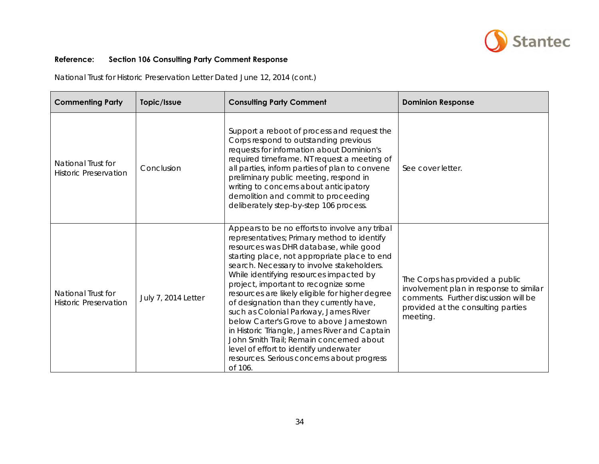

| <b>Commenting Party</b>                            | Topic/Issue         | <b>Consulting Party Comment</b>                                                                                                                                                                                                                                                                                                                                                                                                                                                                                                                                                                                                                                                                             | <b>Dominion Response</b>                                                                                                                                             |
|----------------------------------------------------|---------------------|-------------------------------------------------------------------------------------------------------------------------------------------------------------------------------------------------------------------------------------------------------------------------------------------------------------------------------------------------------------------------------------------------------------------------------------------------------------------------------------------------------------------------------------------------------------------------------------------------------------------------------------------------------------------------------------------------------------|----------------------------------------------------------------------------------------------------------------------------------------------------------------------|
| National Trust for<br><b>Historic Preservation</b> | Conclusion          | Support a reboot of process and request the<br>Corps respond to outstanding previous<br>requests for information about Dominion's<br>required timeframe. NT request a meeting of<br>all parties, inform parties of plan to convene<br>preliminary public meeting, respond in<br>writing to concerns about anticipatory<br>demolition and commit to proceeding<br>deliberately step-by-step 106 process.                                                                                                                                                                                                                                                                                                     | See cover letter.                                                                                                                                                    |
| National Trust for<br><b>Historic Preservation</b> | July 7, 2014 Letter | Appears to be no efforts to involve any tribal<br>representatives; Primary method to identify<br>resources was DHR database, while good<br>starting place, not appropriate place to end<br>search. Necessary to involve stakeholders.<br>While identifying resources impacted by<br>project, important to recognize some<br>resources are likely eligible for higher degree<br>of designation than they currently have,<br>such as Colonial Parkway, James River<br>below Carter's Grove to above Jamestown<br>in Historic Triangle, James River and Captain<br>John Smith Trail; Remain concerned about<br>level of effort to identify underwater<br>resources. Serious concerns about progress<br>of 106. | The Corps has provided a public<br>involvement plan in response to similar<br>comments. Further discussion will be<br>provided at the consulting parties<br>meeting. |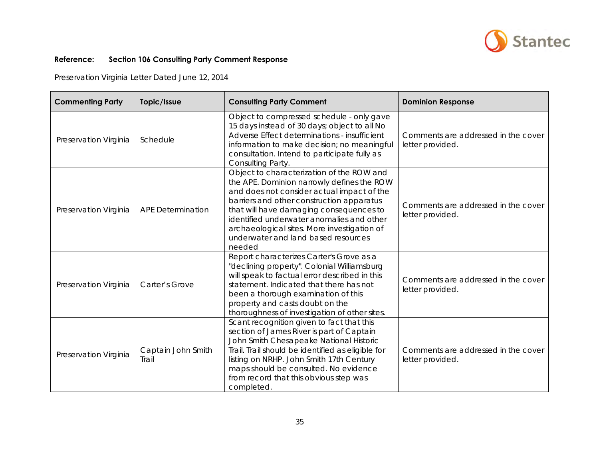

Preservation Virginia Letter Dated June 12, 2014

| <b>Commenting Party</b> | Topic/Issue                 | <b>Consulting Party Comment</b>                                                                                                                                                                                                                                                                                                                                            | <b>Dominion Response</b>                                |
|-------------------------|-----------------------------|----------------------------------------------------------------------------------------------------------------------------------------------------------------------------------------------------------------------------------------------------------------------------------------------------------------------------------------------------------------------------|---------------------------------------------------------|
| Preservation Virginia   | Schedule                    | Object to compressed schedule - only gave<br>15 days instead of 30 days; object to all No<br>Adverse Effect determinations - insufficient<br>information to make decision; no meaningful<br>consultation. Intend to participate fully as<br>Consulting Party.                                                                                                              | Comments are addressed in the cover<br>letter provided. |
| Preservation Virginia   | <b>APE Determination</b>    | Object to characterization of the ROW and<br>the APE. Dominion narrowly defines the ROW<br>and does not consider actual impact of the<br>barriers and other construction apparatus<br>that will have damaging consequences to<br>identified underwater anomalies and other<br>archaeological sites. More investigation of<br>underwater and land based resources<br>needed | Comments are addressed in the cover<br>letter provided. |
| Preservation Virginia   | Carter's Grove              | Report characterizes Carter's Grove as a<br>"declining property". Colonial Williamsburg<br>will speak to factual error described in this<br>statement. Indicated that there has not<br>been a thorough examination of this<br>property and casts doubt on the<br>thoroughness of investigation of other sites.                                                             | Comments are addressed in the cover<br>letter provided. |
| Preservation Virginia   | Captain John Smith<br>Trail | Scant recognition given to fact that this<br>section of James River is part of Captain<br>John Smith Chesapeake National Historic<br>Trail. Trail should be identified as eligible for<br>listing on NRHP. John Smith 17th Century<br>maps should be consulted. No evidence<br>from record that this obvious step was<br>completed.                                        | Comments are addressed in the cover<br>letter provided. |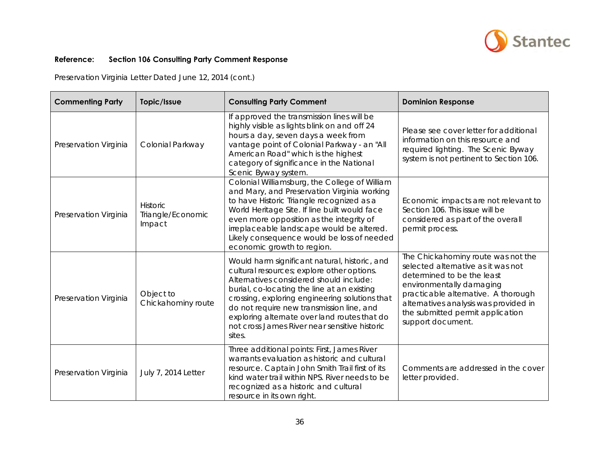

Preservation Virginia Letter Dated June 12, 2014 (cont.)

| <b>Commenting Party</b> | Topic/Issue                             | <b>Consulting Party Comment</b>                                                                                                                                                                                                                                                                                                                                                                 | <b>Dominion Response</b>                                                                                                                                                                                                                                                    |
|-------------------------|-----------------------------------------|-------------------------------------------------------------------------------------------------------------------------------------------------------------------------------------------------------------------------------------------------------------------------------------------------------------------------------------------------------------------------------------------------|-----------------------------------------------------------------------------------------------------------------------------------------------------------------------------------------------------------------------------------------------------------------------------|
| Preservation Virginia   | Colonial Parkway                        | If approved the transmission lines will be<br>highly visible as lights blink on and off 24<br>hours a day, seven days a week from<br>vantage point of Colonial Parkway - an "All<br>American Road" which is the highest<br>category of significance in the National<br>Scenic Byway system.                                                                                                     | Please see cover letter for additional<br>information on this resource and<br>required lighting. The Scenic Byway<br>system is not pertinent to Section 106.                                                                                                                |
| Preservation Virginia   | Historic<br>Triangle/Economic<br>Impact | Colonial Williamsburg, the College of William<br>and Mary, and Preservation Virginia working<br>to have Historic Triangle recognized as a<br>World Heritage Site. If line built would face<br>even more opposition as the integrity of<br>irreplaceable landscape would be altered.<br>Likely consequence would be loss of needed<br>economic growth to region.                                 | Economic impacts are not relevant to<br>Section 106. This issue will be<br>considered as part of the overall<br>permit process.                                                                                                                                             |
| Preservation Virginia   | Object to<br>Chickahominy route         | Would harm significant natural, historic, and<br>cultural resources; explore other options.<br>Alternatives considered should include:<br>burial, co-locating the line at an existing<br>crossing, exploring engineering solutions that<br>do not require new transmission line, and<br>exploring alternate over land routes that do<br>not cross James River near sensitive historic<br>sites. | The Chickahominy route was not the<br>selected alternative as it was not<br>determined to be the least<br>environmentally damaging<br>practicable alternative. A thorough<br>alternatives analysis was provided in<br>the submitted permit application<br>support document. |
| Preservation Virginia   | July 7, 2014 Letter                     | Three additional points: First, James River<br>warrants evaluation as historic and cultural<br>resource. Captain John Smith Trail first of its<br>kind water trail within NPS. River needs to be<br>recognized as a historic and cultural<br>resource in its own right.                                                                                                                         | Comments are addressed in the cover<br>letter provided.                                                                                                                                                                                                                     |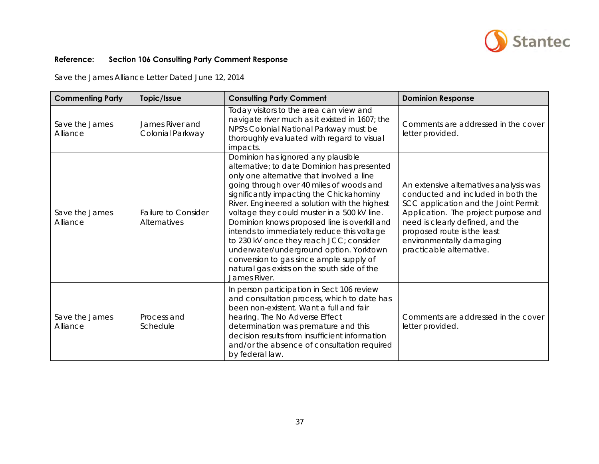

Save the James Alliance Letter Dated June 12, 2014

| <b>Commenting Party</b>    | Topic/Issue                                | <b>Consulting Party Comment</b>                                                                                                                                                                                                                                                                                                                                                                                                                                                                                                                                                                                      | <b>Dominion Response</b>                                                                                                                                                                                                                                                                |
|----------------------------|--------------------------------------------|----------------------------------------------------------------------------------------------------------------------------------------------------------------------------------------------------------------------------------------------------------------------------------------------------------------------------------------------------------------------------------------------------------------------------------------------------------------------------------------------------------------------------------------------------------------------------------------------------------------------|-----------------------------------------------------------------------------------------------------------------------------------------------------------------------------------------------------------------------------------------------------------------------------------------|
| Save the James<br>Alliance | James River and<br>Colonial Parkway        | Today visitors to the area can view and<br>navigate river much as it existed in 1607; the<br>NPS's Colonial National Parkway must be<br>thoroughly evaluated with regard to visual<br>impacts.                                                                                                                                                                                                                                                                                                                                                                                                                       | Comments are addressed in the cover<br>letter provided.                                                                                                                                                                                                                                 |
| Save the James<br>Alliance | <b>Failure to Consider</b><br>Alternatives | Dominion has ignored any plausible<br>alternative; to date Dominion has presented<br>only one alternative that involved a line<br>going through over 40 miles of woods and<br>significantly impacting the Chickahominy<br>River. Engineered a solution with the highest<br>voltage they could muster in a 500 kV line.<br>Dominion knows proposed line is overkill and<br>intends to immediately reduce this voltage<br>to 230 kV once they reach JCC; consider<br>underwater/underground option. Yorktown<br>conversion to gas since ample supply of<br>natural gas exists on the south side of the<br>James River. | An extensive alternatives analysis was<br>conducted and included in both the<br>SCC application and the Joint Permit<br>Application. The project purpose and<br>need is clearly defined, and the<br>proposed route is the least<br>environmentally damaging<br>practicable alternative. |
| Save the James<br>Alliance | Process and<br>Schedule                    | In person participation in Sect 106 review<br>and consultation process, which to date has<br>been non-existent. Want a full and fair<br>hearing. The No Adverse Effect<br>determination was premature and this<br>decision results from insufficient information<br>and/or the absence of consultation required<br>by federal law.                                                                                                                                                                                                                                                                                   | Comments are addressed in the cover<br>letter provided.                                                                                                                                                                                                                                 |